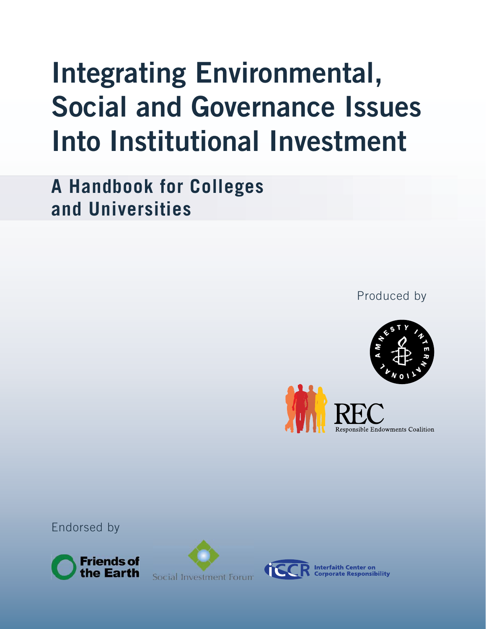# **Integrating Environmental, Social and Governance Issues Into Institutional Investment**

**A Handbook for Colleges and Universities**

Produced by





Endorsed by





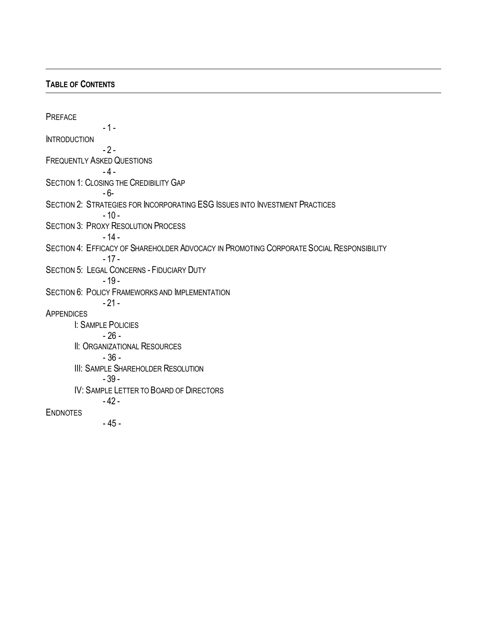# **TABLE OF CONTENTS**

PREFACE - 1 - **INTRODUCTION**  $-2 -$ FREQUENTLY ASKED QUESTIONS  $-4 -$ SECTION 1: CLOSING THE CREDIBILITY GAP - 6- SECTION 2: STRATEGIES FOR INCORPORATING ESG ISSUES INTO INVESTMENT PRACTICES  $-10-$ SECTION 3: PROXY RESOLUTION PROCESS - 14 - SECTION 4: EFFICACY OF SHAREHOLDER ADVOCACY IN PROMOTING CORPORATE SOCIAL RESPONSIBILITY - 17 - SECTION 5: LEGAL CONCERNS - FIDUCIARY DUTY - 19 - SECTION 6: POLICY FRAMEWORKS AND IMPLEMENTATION  $-21 -$ **APPENDICES** I: SAMPLE POLICIES - 26 - **II: ORGANIZATIONAL RESOURCES** - 36 - **III: SAMPLE SHAREHOLDER RESOLUTION** - 39 - IV: SAMPLE LETTER TO BOARD OF DIRECTORS - 42 - ENDNOTES - 45 -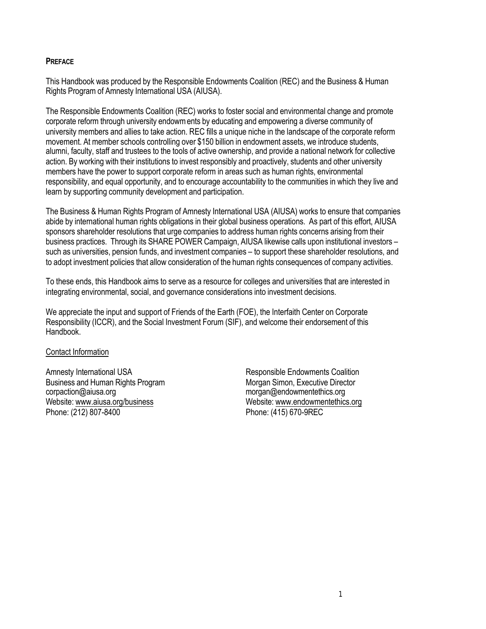# **PREFACE**

This Handbook was produced by the Responsible Endowments Coalition (REC) and the Business & Human Rights Program of Amnesty International USA (AIUSA).

The Responsible Endowments Coalition (REC) works to foster social and environmental change and promote corporate reform through university endowments by educating and empowering a diverse community of university members and allies to take action. REC fills a unique niche in the landscape of the corporate reform movement. At member schools controlling over \$150 billion in endowment assets, we introduce students, alumni, faculty, staff and trustees to the tools of active ownership, and provide a national network for collective action. By working with their institutions to invest responsibly and proactively, students and other university members have the power to support corporate reform in areas such as human rights, environmental responsibility, and equal opportunity, and to encourage accountability to the communities in which they live and learn by supporting community development and participation.

The Business & Human Rights Program of Amnesty International USA (AIUSA) works to ensure that companies abide by international human rights obligations in their global business operations. As part of this effort, AIUSA sponsors shareholder resolutions that urge companies to address human rights concerns arising from their business practices. Through its SHARE POWER Campaign, AIUSA likewise calls upon institutional investors – such as universities, pension funds, and investment companies – to support these shareholder resolutions, and to adopt investment policies that allow consideration of the human rights consequences of company activities.

To these ends, this Handbook aims to serve as a resource for colleges and universities that are interested in integrating environmental, social, and governance considerations into investment decisions.

We appreciate the input and support of Friends of the Earth (FOE), the Interfaith Center on Corporate Responsibility (ICCR), and the Social Investment Forum (SIF), and welcome their endorsement of this Handbook.

## Contact Information

Amnesty International USA **Responsible Endowments Coalition** Business and Human Rights Program Morgan Simon, Executive Director corpaction@aiusa.org morgan@endowmentethics.org Website: www.aiusa.org/business Website: www.endowmentethics.org Phone: (212) 807-8400 Phone: (415) 670-9REC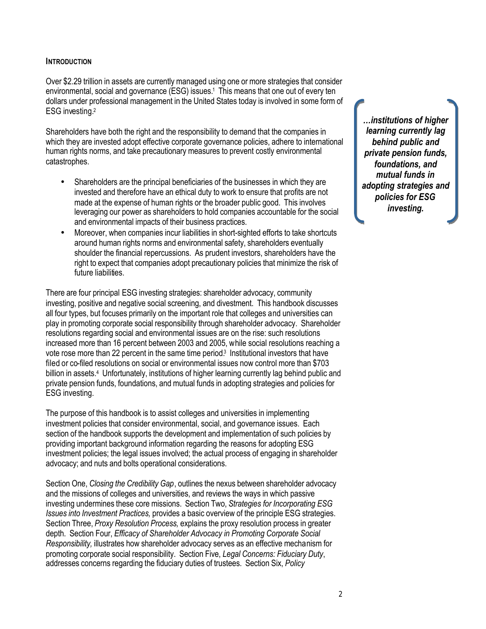#### **INTRODUCTION**

Over \$2.29 trillion in assets are currently managed using one or more strategies that consider environmental, social and governance (ESG) issues.<sup>1</sup> This means that one out of every ten dollars under professional management in the United States today is involved in some form of ESG investing.<sup>2</sup>

Shareholders have both the right and the responsibility to demand that the companies in which they are invested adopt effective corporate governance policies, adhere to international human rights norms, and take precautionary measures to prevent costly environmental catastrophes.

- Shareholders are the principal beneficiaries of the businesses in which they are invested and therefore have an ethical duty to work to ensure that profits are not made at the expense of human rights or the broader public good. This involves leveraging our power as shareholders to hold companies accountable for the social and environmental impacts of their business practices.
- Moreover, when companies incur liabilities in short-sighted efforts to take shortcuts around human rights norms and environmental safety, shareholders eventually shoulder the financial repercussions. As prudent investors, shareholders have the right to expect that companies adopt precautionary policies that minimize the risk of future liabilities.

There are four principal ESG investing strategies: shareholder advocacy, community investing, positive and negative social screening, and divestment. This handbook discusses all four types, but focuses primarily on the important role that colleges and universities can play in promoting corporate social responsibility through shareholder advocacy. Shareholder resolutions regarding social and environmental issues are on the rise: such resolutions increased more than 16 percent between 2003 and 2005, while social resolutions reaching a vote rose more than 22 percent in the same time period.<sup>3</sup> Institutional investors that have filed or co-filed resolutions on social or environmental issues now control more than \$703 billion in assets.<sup>4</sup> Unfortunately, institutions of higher learning currently lag behind public and private pension funds, foundations, and mutual funds in adopting strategies and policies for ESG investing.

The purpose of this handbook is to assist colleges and universities in implementing investment policies that consider environmental, social, and governance issues. Each section of the handbook supports the development and implementation of such policies by providing important background information regarding the reasons for adopting ESG investment policies; the legal issues involved; the actual process of engaging in shareholder advocacy; and nuts and bolts operational considerations.

Section One, *Closing the Credibility Gap*, outlines the nexus between shareholder advocacy and the missions of colleges and universities, and reviews the ways in which passive investing undermines these core missions. Section Two, *Strategies for Incorporating ESG Issues into Investment Practices,* provides a basic overview of the principle ESG strategies. Section Three, *Proxy Resolution Process,* explains the proxy resolution process in greater depth. Section Four, *Efficacy of Shareholder Advocacy in Promoting Corporate Social Responsibility,* illustrates how shareholder advocacy serves as an effective mechanism for promoting corporate social responsibility. Section Five, *Legal Concerns: Fiduciary Duty*, addresses concerns regarding the fiduciary duties of trustees. Section Six, *Policy* 

*…institutions of higher learning currently lag behind public and private pension funds, foundations, and mutual funds in adopting strategies and policies for ESG investing.*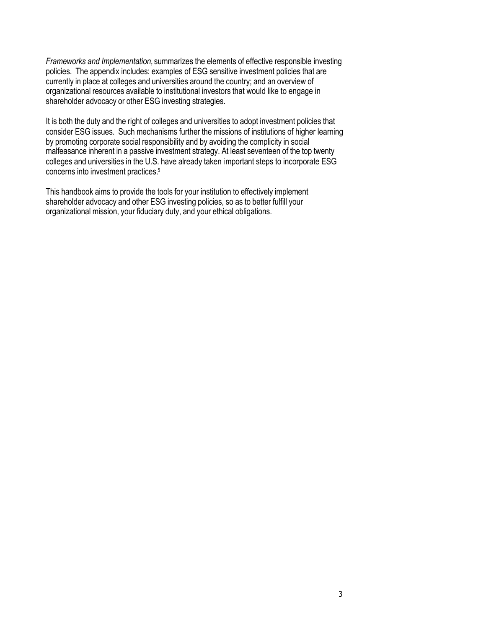*Frameworks and Implementation,* summarizes the elements of effective responsible investing policies. The appendix includes: examples of ESG sensitive investment policies that are currently in place at colleges and universities around the country; and an overview of organizational resources available to institutional investors that would like to engage in shareholder advocacy or other ESG investing strategies.

It is both the duty and the right of colleges and universities to adopt investment policies that consider ESG issues. Such mechanisms further the missions of institutions of higher learning by promoting corporate social responsibility and by avoiding the complicity in social malfeasance inherent in a passive investment strategy. At least seventeen of the top twenty colleges and universities in the U.S. have already taken important steps to incorporate ESG concerns into investment practices.<sup>5</sup>

This handbook aims to provide the tools for your institution to effectively implement shareholder advocacy and other ESG investing policies, so as to better fulfill your organizational mission, your fiduciary duty, and your ethical obligations.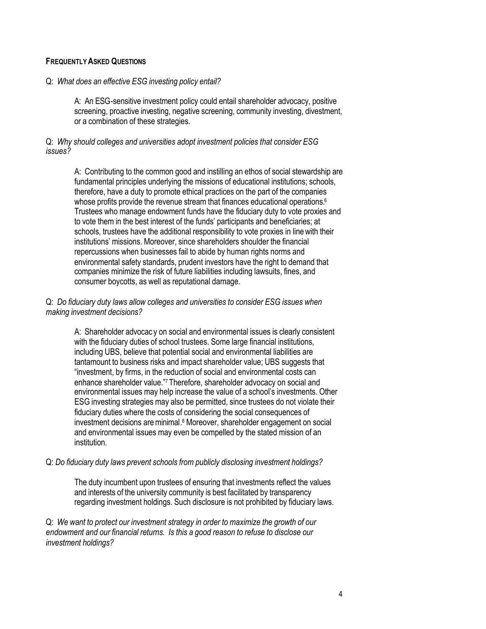# **FREQUENTLY ASKED QUESTIONS**

#### Q: *What does an effective ESG investing policy entail?*

A: An ESG-sensitive investment policy could entail shareholder advocacy, positive screening, proactive investing, negative screening, community investing, divestment, or a combination of these strategies.

## Q: *Why should colleges and universities adopt investment policies that consider ESG issues?*

A: Contributing to the common good and instilling an ethos of social stewardship are fundamental principles underlying the missions of educational institutions; schools, therefore, have a duty to promote ethical practices on the part of the companies whose profits provide the revenue stream that finances educational operations.<sup>6</sup> Trustees who manage endowment funds have the fiduciary duty to vote proxies and to vote them in the best interest of the funds' participants and beneficiaries; at schools, trustees have the additional responsibility to vote proxies in line with their institutions' missions. Moreover, since shareholders shoulder the financial repercussions when businesses fail to abide by human rights norms and environmental safety standards, prudent investors have the right to demand that companies minimize the risk of future liabilities including lawsuits, fines, and consumer boycotts, as well as reputational damage.

## Q: *Do fiduciary duty laws allow colleges and universities to consider ESG issues when making investment decisions?*

A: Shareholder advocac y on social and environmental issues is clearly consistent with the fiduciary duties of school trustees. Some large financial institutions, including UBS, believe that potential social and environmental liabilities are tantamount to business risks and impact shareholder value; UBS suggests that "investment, by firms, in the reduction of social and environmental costs can enhance shareholder value."<sup>7</sup> Therefore, shareholder advocacy on social and environmental issues may help increase the value of a school's investments. Other ESG investing strategies may also be permitted, since trustees do not violate their fiduciary duties where the costs of considering the social consequences of investment decisions are minimal. <sup>8</sup> Moreover, shareholder engagement on social and environmental issues may even be compelled by the stated mission of an institution.

## Q: *Do fiduciary duty laws prevent schools from publicly disclosing investment holdings?*

The duty incumbent upon trustees of ensuring that investments reflect the values and interests of the university community is best facilitated by transparency regarding investment holdings. Such disclosure is not prohibited by fiduciary laws.

Q: *We want to protect our investment strategy in order to maximize the growth of our endowment and our financial returns. Is this a good reason to refuse to disclose our investment holdings?*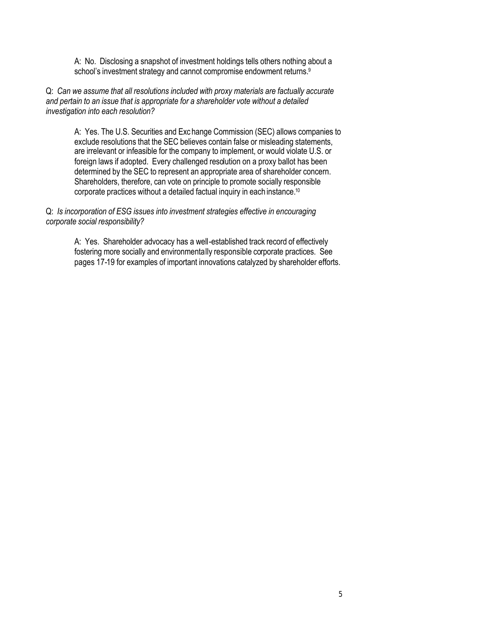A: No. Disclosing a snapshot of investment holdings tells others nothing about a school's investment strategy and cannot compromise endowment returns.<sup>9</sup>

Q: *Can we assume that all resolutions included with proxy materials are factually accurate and pertain to an issue that is appropriate for a shareholder vote without a detailed investigation into each resolution?* 

A: Yes. The U.S. Securities and Exc hange Commission (SEC) allows companies to exclude resolutions that the SEC believes contain false or misleading statements, are irrelevant or infeasible for the company to implement, or would violate U.S. or foreign laws if adopted. Every challenged resolution on a proxy ballot has been determined by the SEC to represent an appropriate area of shareholder concern. Shareholders, therefore, can vote on principle to promote socially responsible corporate practices without a detailed factual inquiry in each instance.<sup>10</sup>

Q: *Is incorporation of ESG issues into investment strategies effective in encouraging corporate social responsibility?*

> A: Yes. Shareholder advocacy has a well-established track record of effectively fostering more socially and environmentally responsible corporate practices. See pages 17-19 for examples of important innovations catalyzed by shareholder efforts.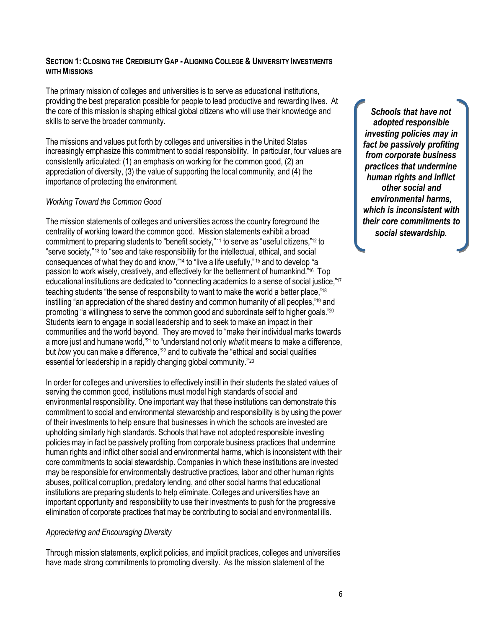# **SECTION 1:CLOSING THE CREDIBILITY GAP -ALIGNING COLLEGE & UNIVERSITY INVESTMENTS WITH MISSIONS**

The primary mission of colleges and universities is to serve as educational institutions, providing the best preparation possible for people to lead productive and rewarding lives. At the core of this mission is shaping ethical global citizens who will use their knowledge and skills to serve the broader community.

The missions and values put forth by colleges and universities in the United States increasingly emphasize this commitment to social responsibility. In particular, four values are consistently articulated: (1) an emphasis on working for the common good, (2) an appreciation of diversity, (3) the value of supporting the local community, and (4) the importance of protecting the environment.

# *Working Toward the Common Good*

The mission statements of colleges and universities across the country foreground the centrality of working toward the common good. Mission statements exhibit a broad commitment to preparing students to "benefit society,"<sup>11</sup> to serve as "useful citizens,"<sup>12</sup> to "serve society,"<sup>13</sup> to "see and take responsibility for the intellectual, ethical, and social consequences of what they do and know,"<sup>14</sup> to "live a life usefully,"<sup>15</sup> and to develop "a passion to work wisely, creatively, and effectively for the betterment of humankind."<sup>16</sup> Top educational institutions are dedicated to "connecting academics to a sense of social justice,"<sup>17</sup> teaching students "the sense of responsibility to want to make the world a better place,"<sup>18</sup> instilling "an appreciation of the shared destiny and common humanity of all peoples,"<sup>19</sup> and promoting "a willingness to serve the common good and subordinate self to higher goals."<sup>20</sup> Students learn to engage in social leadership and to seek to make an impact in their communities and the world beyond. They are moved to "make their individual marks towards a more just and humane world,"<sup>21</sup> to "understand not only *what* it means to make a difference, but *how* you can make a difference,"<sup>22</sup> and to cultivate the "ethical and social qualities essential for leadership in a rapidly changing global community."<sup>23</sup>

In order for colleges and universities to effectively instill in their students the stated values of serving the common good, institutions must model high standards of social and environmental responsibility. One important way that these institutions can demonstrate this commitment to social and environmental stewardship and responsibility is by using the power of their investments to help ensure that businesses in which the schools are invested are upholding similarly high standards. Schools that have not adopted responsible investing policies may in fact be passively profiting from corporate business practices that undermine human rights and inflict other social and environmental harms, which is inconsistent with their core commitments to social stewardship. Companies in which these institutions are invested may be responsible for environmentally destructive practices, labor and other human rights abuses, political corruption, predatory lending, and other social harms that educational institutions are preparing students to help eliminate. Colleges and universities have an important opportunity and responsibility to use their investments to push for the progressive elimination of corporate practices that may be contributing to social and environmental ills.

# *Appreciating and Encouraging Diversity*

Through mission statements, explicit policies, and implicit practices, colleges and universities have made strong commitments to promoting diversity. As the mission statement of the

*Schools that have not adopted responsible investing policies may in fact be passively profiting from corporate business practices that undermine human rights and inflict other social and environmental harms, which is inconsistent with their core commitments to social stewardship.*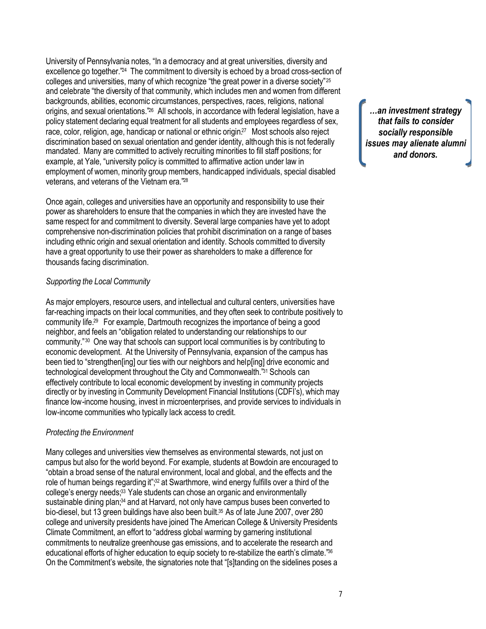University of Pennsylvania notes, "In a democracy and at great universities, diversity and excellence go together."<sup>24</sup> The commitment to diversity is echoed by a broad cross-section of colleges and universities, many of which recognize "the great power in a diverse society"<sup>25</sup> and celebrate "the diversity of that community, which includes men and women from different backgrounds, abilities, economic circumstances, perspectives, races, religions, national origins, and sexual orientations."<sup>26</sup> All schools, in accordance with federal legislation, have a policy statement declaring equal treatment for all students and employees regardless of sex, race, color, religion, age, handicap or national or ethnic origin.<sup>27</sup> Most schools also reject discrimination based on sexual orientation and gender identity, although this is not federally mandated. Many are committed to actively recruiting minorities to fill staff positions; for example, at Yale, "university policy is committed to affirmative action under law in employment of women, minority group members, handicapped individuals, special disabled veterans, and veterans of the Vietnam era."<sup>28</sup>

Once again, colleges and universities have an opportunity and responsibility to use their power as shareholders to ensure that the companies in which they are invested have the same respect for and commitment to diversity. Several large companies have yet to adopt comprehensive non-discrimination policies that prohibit discrimination on a range of bases including ethnic origin and sexual orientation and identity. Schools committed to diversity have a great opportunity to use their power as shareholders to make a difference for thousands facing discrimination.

# *Supporting the Local Community*

As major employers, resource users, and intellectual and cultural centers, universities have far-reaching impacts on their local communities, and they often seek to contribute positively to community life.<sup>29</sup> For example, Dartmouth recognizes the importance of being a good neighbor, and feels an "obligation related to understanding our relationships to our community."<sup>30</sup> One way that schools can support local communities is by contributing to economic development. At the University of Pennsylvania, expansion of the campus has been tied to "strengthen[ing] our ties with our neighbors and help[ing] drive economic and technological development throughout the City and Commonwealth."<sup>31</sup> Schools can effectively contribute to local economic development by investing in community projects directly or by investing in Community Development Financial Institutions (CDFI's), which may finance low-income housing, invest in microenterprises, and provide services to individuals in low-income communities who typically lack access to credit.

# *Protecting the Environment*

Many colleges and universities view themselves as environmental stewards, not just on campus but also for the world beyond. For example, students at Bowdoin are encouraged to "obtain a broad sense of the natural environment, local and global, and the effects and the role of human beings regarding it";<sup>32</sup> at Swarthmore, wind energy fulfills over a third of the college's energy needs;<sup>33</sup> Yale students can chose an organic and environmentally sustainable dining plan;<sup>34</sup> and at Harvard, not only have campus buses been converted to bio-diesel, but 13 green buildings have also been built.<sup>35</sup> As of late June 2007, over 280 college and university presidents have joined The American College & University Presidents Climate Commitment, an effort to "address global warming by garnering institutional commitments to neutralize greenhouse gas emissions, and to accelerate the research and educational efforts of higher education to equip society to re-stabilize the earth's climate."<sup>36</sup> On the Commitment's website, the signatories note that "[s]tanding on the sidelines poses a

*…an investment strategy that fails to consider socially responsible issues may alienate alumni and donors.*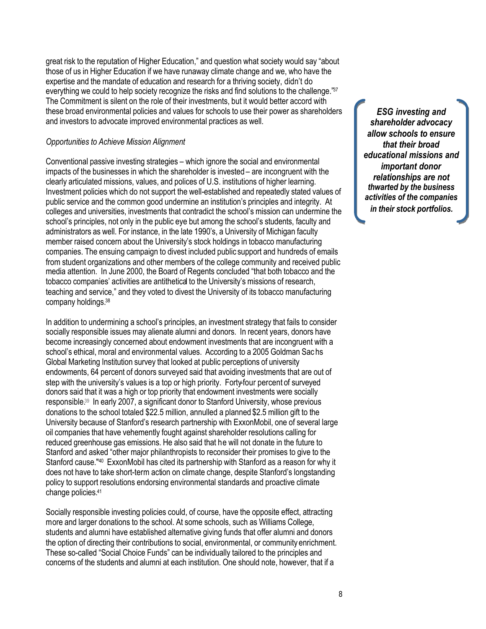great risk to the reputation of Higher Education," and question what society would say "about those of us in Higher Education if we have runaway climate change and we, who have the expertise and the mandate of education and research for a thriving society, didn't do everything we could to help society recognize the risks and find solutions to the challenge."37 The Commitment is silent on the role of their investments, but it would better accord with these broad environmental policies and values for schools to use their power as shareholders and investors to advocate improved environmental practices as well.

# *Opportunities to Achieve Mission Alignment*

Conventional passive investing strategies – which ignore the social and environmental impacts of the businesses in which the shareholder is invested – are incongruent with the clearly articulated missions, values, and polices of U.S. institutions of higher learning. Investment policies which do not support the well-established and repeatedly stated values of public service and the common good undermine an institution's principles and integrity. At colleges and universities, investments that contradict the school's mission can undermine the school's principles, not only in the public eye but among the school's students, faculty and administrators as well. For instance, in the late 1990's, a University of Michigan faculty member raised concern about the University's stock holdings in tobacco manufacturing companies. The ensuing campaign to divest included public support and hundreds of emails from student organizations and other members of the college community and received public media attention. In June 2000, the Board of Regents concluded "that both tobacco and the tobacco companies' activities are antithetical to the University's missions of research, teaching and service," and they voted to divest the University of its tobacco manufacturing company holdings.<sup>38</sup>

In addition to undermining a school's principles, an investment strategy that fails to consider socially responsible issues may alienate alumni and donors. In recent years, donors have become increasingly concerned about endowment investments that are incongruent with a school's ethical, moral and environmental values. According to a 2005 Goldman Sac hs Global Marketing Institution survey that looked at public perceptions of university endowments, 64 percent of donors surveyed said that avoiding investments that are out of step with the university's values is a top or high priority. Forty-four percent of surveyed donors said that it was a high or top priority that endowment investments were socially responsible.<sup>39</sup> In early 2007, a significant donor to Stanford University, whose previous donations to the school totaled \$22.5 million, annulled a planned \$2.5 million gift to the University because of Stanford's research partnership with ExxonMobil, one of several large oil companies that have vehemently fought against shareholder resolutions calling for reduced greenhouse gas emissions. He also said that he will not donate in the future to Stanford and asked "other major philanthropists to reconsider their promises to give to the Stanford cause."<sup>40</sup> ExxonMobil has cited its partnership with Stanford as a reason for why it does not have to take short-term action on climate change, despite Stanford's longstanding policy to support resolutions endorsing environmental standards and proactive climate change policies.<sup>41</sup>

Socially responsible investing policies could, of course, have the opposite effect, attracting more and larger donations to the school. At some schools, such as Williams College, students and alumni have established alternative giving funds that offer alumni and donors the option of directing their contributions to social, environmental, or community enrichment. These so-called "Social Choice Funds" can be individually tailored to the principles and concerns of the students and alumni at each institution. One should note, however, that if a

*ESG investing and shareholder advocacy allow schools to ensure that their broad educational missions and important donor relationships are not thwarted by the business activities of the companies in their stock portfolios.*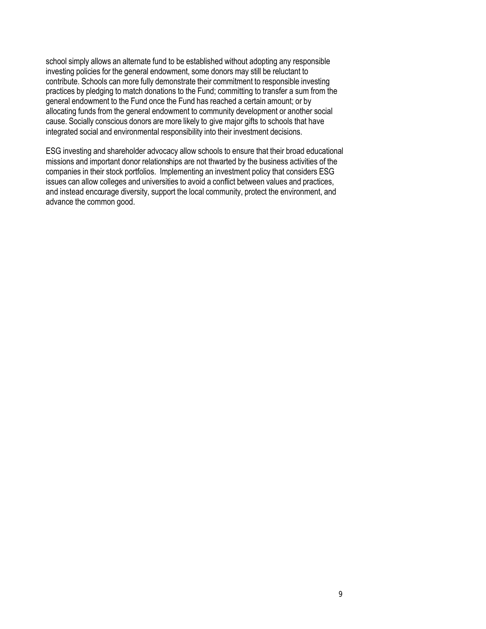school simply allows an alternate fund to be established without adopting any responsible investing policies for the general endowment, some donors may still be reluctant to contribute. Schools can more fully demonstrate their commitment to responsible investing practices by pledging to match donations to the Fund; committing to transfer a sum from the general endowment to the Fund once the Fund has reached a certain amount; or by allocating funds from the general endowment to community development or another social cause. Socially conscious donors are more likely to give major gifts to schools that have integrated social and environmental responsibility into their investment decisions.

ESG investing and shareholder advocacy allow schools to ensure that their broad educational missions and important donor relationships are not thwarted by the business activities of the companies in their stock portfolios. Implementing an investment policy that considers ESG issues can allow colleges and universities to avoid a conflict between values and practices, and instead encourage diversity, support the local community, protect the environment, and advance the common good.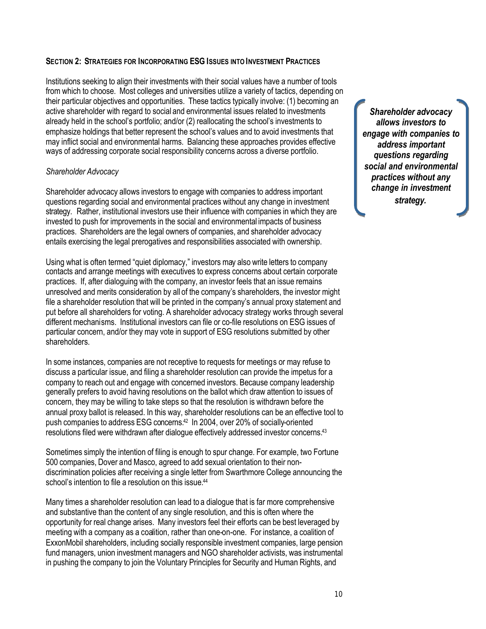# **SECTION 2: STRATEGIES FOR INCORPORATING ESG ISSUES INTO INVESTMENT PRACTICES**

Institutions seeking to align their investments with their social values have a number of tools from which to choose. Most colleges and universities utilize a variety of tactics, depending on their particular objectives and opportunities. These tactics typically involve: (1) becoming an active shareholder with regard to social and environmental issues related to investments already held in the school's portfolio; and/or (2) reallocating the school's investments to emphasize holdings that better represent the school's values and to avoid investments that may inflict social and environmental harms. Balancing these approaches provides effective ways of addressing corporate social responsibility concerns across a diverse portfolio.

## *Shareholder Advocacy*

Shareholder advocacy allows investors to engage with companies to address important questions regarding social and environmental practices without any change in investment strategy.Rather, institutional investors use their influence with companies in which they are invested to push for improvements in the social and environmental impacts of business practices. Shareholders are the legal owners of companies, and shareholder advocacy entails exercising the legal prerogatives and responsibilities associated with ownership.

Using what is often termed "quiet diplomacy," investors may also write letters to company contacts and arrange meetings with executives to express concerns about certain corporate practices. If, after dialoguing with the company, an investor feels that an issue remains unresolved and merits consideration by all of the company's shareholders, the investor might file a shareholder resolution that will be printed in the company's annual proxy statement and put before all shareholders for voting. A shareholder advocacy strategy works through several different mechanisms. Institutional investors can file or co-file resolutions on ESG issues of particular concern, and/or they may vote in support of ESG resolutions submitted by other shareholders.

In some instances, companies are not receptive to requests for meetings or may refuse to discuss a particular issue, and filing a shareholder resolution can provide the impetus for a company to reach out and engage with concerned investors. Because company leadership generally prefers to avoid having resolutions on the ballot which draw attention to issues of concern, they may be willing to take steps so that the resolution is withdrawn before the annual proxy ballot is released. In this way, shareholder resolutions can be an effective tool to push companies to address ESG concerns.<sup>42</sup> In 2004, over 20% of socially-oriented resolutions filed were withdrawn after dialogue effectively addressed investor concerns.<sup>43</sup>

Sometimes simply the intention of filing is enough to spur change. For example, two Fortune 500 companies, Dover and Masco, agreed to add sexual orientation to their nondiscrimination policies after receiving a single letter from Swarthmore College announcing the school's intention to file a resolution on this issue.<sup>44</sup>

Many times a shareholder resolution can lead to a dialogue that is far more comprehensive and substantive than the content of any single resolution, and this is often where the opportunity for real change arises. Many investors feel their efforts can be best leveraged by meeting with a company as a coalition, rather than one-on-one. For instance, a coalition of ExxonMobil shareholders, including socially responsible investment companies, large pension fund managers, union investment managers and NGO shareholder activists, was instrumental in pushing the company to join the Voluntary Principles for Security and Human Rights, and

*Shareholder advocacy allows investors to engage with companies to address important questions regarding social and environmental practices without any change in investment strategy.*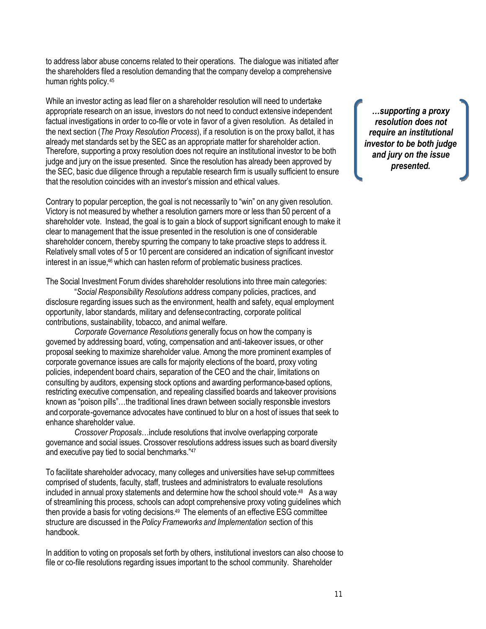to address labor abuse concerns related to their operations. The dialogue was initiated after the shareholders filed a resolution demanding that the company develop a comprehensive human rights policy.<sup>45</sup>

While an investor acting as lead filer on a shareholder resolution will need to undertake appropriate research on an issue, investors do not need to conduct extensive independent factual investigations in order to co-file or vote in favor of a given resolution. As detailed in the next section (*The Proxy Resolution Process*), if a resolution is on the proxy ballot, it has already met standards set by the SEC as an appropriate matter for shareholder action. Therefore, supporting a proxy resolution does not require an institutional investor to be both judge and jury on the issue presented. Since the resolution has already been approved by the SEC, basic due diligence through a reputable research firm is usually sufficient to ensure that the resolution coincides with an investor's mission and ethical values.

Contrary to popular perception, the goal is not necessarily to "win" on any given resolution. Victory is not measured by whether a resolution garners more or less than 50 percent of a shareholder vote. Instead, the goal is to gain a block of support significant enough to make it clear to management that the issue presented in the resolution is one of considerable shareholder concern, thereby spurring the company to take proactive steps to address it. Relatively small votes of 5 or 10 percent are considered an indication of significant investor interest in an issue,<sup>46</sup> which can hasten reform of problematic business practices.

The Social Investment Forum divides shareholder resolutions into three main categories:

"*Social Responsibility Resolutions* address company policies, practices, and disclosure regarding issues such as the environment, health and safety, equal employment opportunity, labor standards, military and defense contracting, corporate political contributions, sustainability, tobacco, and animal welfare.

*Corporate Governance Resolutions* generally focus on how the company is governed by addressing board, voting, compensation and anti-takeover issues, or other proposal seeking to maximize shareholder value. Among the more prominent examples of corporate governance issues are calls for majority elections of the board, proxy voting policies, independent board chairs, separation of the CEO and the chair, limitations on consulting by auditors, expensing stock options and awarding performance-based options, restricting executive compensation, and repealing classified boards and takeover provisions known as "poison pills"…the traditional lines drawn between socially responsible investors and corporate-governance advocates have continued to blur on a host of issues that seek to enhance shareholder value.

*Crossover Proposals*…include resolutions that involve overlapping corporate governance and social issues. Crossover resolutions address issues such as board diversity and executive pay tied to social benchmarks."<sup>47</sup>

To facilitate shareholder advocacy, many colleges and universities have set-up committees comprised of students, faculty, staff, trustees and administrators to evaluate resolutions included in annual proxy statements and determine how the school should vote.<sup>48</sup> As a way of streamlining this process, schools can adopt comprehensive proxy voting guidelines which then provide a basis for voting decisions.<sup>49</sup> The elements of an effective ESG committee structure are discussed in the *Policy Frameworks and Implementation* section of this handbook.

In addition to voting on proposals set forth by others, institutional investors can also choose to file or co-file resolutions regarding issues important to the school community. Shareholder

*…supporting a proxy resolution does not require an institutional investor to be both judge and jury on the issue presented.*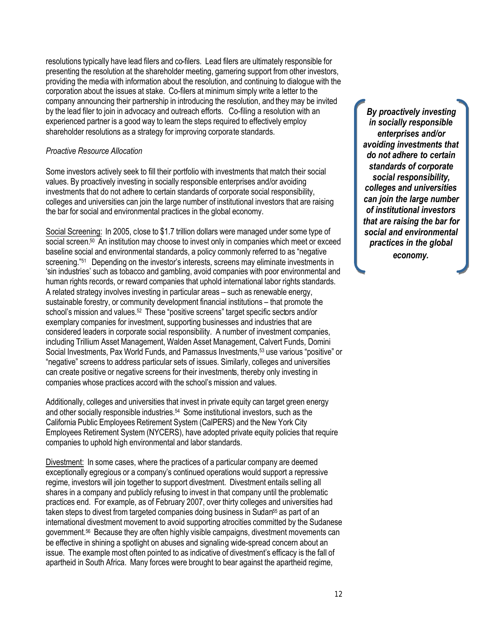resolutions typically have lead filers and co-filers. Lead filers are ultimately responsible for presenting the resolution at the shareholder meeting, garnering support from other investors, providing the media with information about the resolution, and continuing to dialogue with the corporation about the issues at stake. Co-filers at minimum simply write a letter to the company announcing their partnership in introducing the resolution, and they may be invited by the lead filer to join in advocacy and outreach efforts. Co-filing a resolution with an experienced partner is a good way to learn the steps required to effectively employ shareholder resolutions as a strategy for improving corporate standards.

# *Proactive Resource Allocation*

Some investors actively seek to fill their portfolio with investments that match their social values. By proactively investing in socially responsible enterprises and/or avoiding investments that do not adhere to certain standards of corporate social responsibility, colleges and universities can join the large number of institutional investors that are raising the bar for social and environmental practices in the global economy.

Social Screening: In 2005, close to \$1.7 trillion dollars were managed under some type of social screen.<sup>50</sup> An institution may choose to invest only in companies which meet or exceed baseline social and environmental standards, a policy commonly referred to as "negative screening."<sup>51</sup> Depending on the investor's interests, screens may eliminate investments in 'sin industries' such as tobacco and gambling, avoid companies with poor environmental and human rights records, or reward companies that uphold international labor rights standards. A related strategy involves investing in particular areas – such as renewable energy, sustainable forestry, or community development financial institutions – that promote the school's mission and values.<sup>52</sup> These "positive screens" target specific sectors and/or exemplary companies for investment, supporting businesses and industries that are considered leaders in corporate social responsibility. A number of investment companies, including Trillium Asset Management, Walden Asset Management, Calvert Funds, Domini Social Investments, Pax World Funds, and Parnassus Investments,<sup>53</sup> use various "positive" or "negative" screens to address particular sets of issues. Similarly, colleges and universities can create positive or negative screens for their investments, thereby only investing in companies whose practices accord with the school's mission and values.

Additionally, colleges and universities that invest in private equity can target green energy and other socially responsible industries.<sup>54</sup> Some institutional investors, such as the California Public Employees Retirement System (CalPERS) and the New York City Employees Retirement System (NYCERS), have adopted private equity policies that require companies to uphold high environmental and labor standards.

Divestment: In some cases, where the practices of a particular company are deemed exceptionally egregious or a company's continued operations would support a repressive regime, investors will join together to support divestment. Divestment entails selling all shares in a company and publicly refusing to invest in that company until the problematic practices end. For example, as of February 2007, over thirty colleges and universities had taken steps to divest from targeted companies doing business in Sudan<sup>55</sup> as part of an international divestment movement to avoid supporting atrocities committed by the Sudanese government.<sup>56</sup> Because they are often highly visible campaigns, divestment movements can be effective in shining a spotlight on abuses and signaling wide-spread concern about an issue. The example most often pointed to as indicative of divestment's efficacy is the fall of apartheid in South Africa. Many forces were brought to bear against the apartheid regime,

*By proactively investing in socially responsible enterprises and/or avoiding investments that do not adhere to certain standards of corporate social responsibility, colleges and universities can join the large number of institutional investors that are raising the bar for social and environmental practices in the global economy.*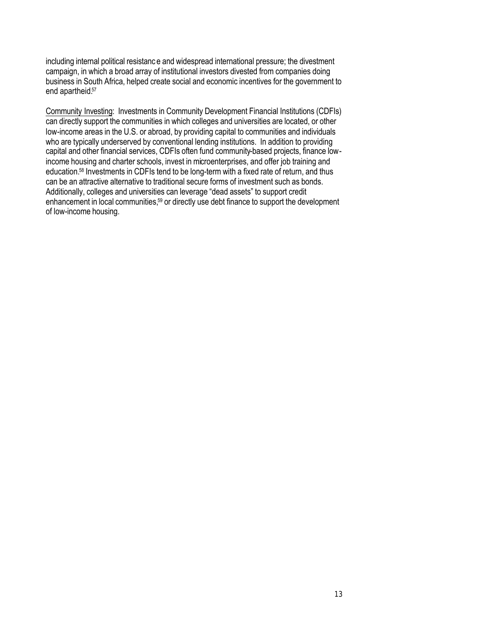including internal political resistanc e and widespread international pressure; the divestment campaign, in which a broad array of institutional investors divested from companies doing business in South Africa, helped create social and economic incentives for the government to end apartheid.<sup>57</sup>

Community Investing: Investments in Community Development Financial Institutions (CDFIs) can directly support the communities in which colleges and universities are located, or other low-income areas in the U.S. or abroad, by providing capital to communities and individuals who are typically underserved by conventional lending institutions. In addition to providing capital and other financial services, CDFIs often fund community-based projects, finance lowincome housing and charter schools, invest in microenterprises, and offer job training and education.<sup>58</sup> Investments in CDFIs tend to be long-term with a fixed rate of return, and thus can be an attractive alternative to traditional secure forms of investment such as bonds. Additionally, colleges and universities can leverage "dead assets" to support credit enhancement in local communities,<sup>59</sup> or directly use debt finance to support the development of low-income housing.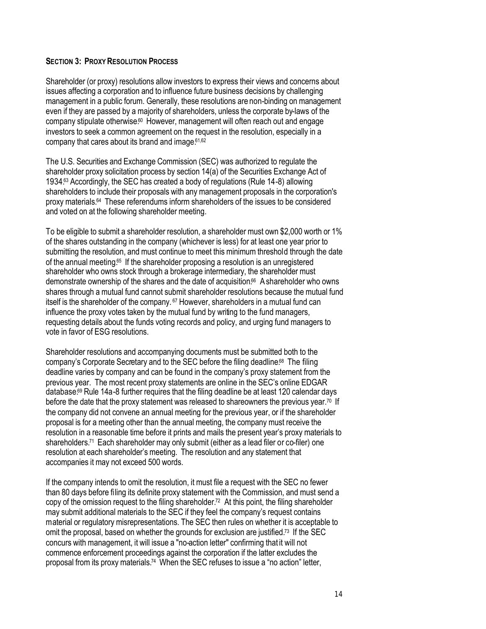# **SECTION 3: PROXY RESOLUTION PROCESS**

Shareholder (or proxy) resolutions allow investors to express their views and concerns about issues affecting a corporation and to influence future business decisions by challenging management in a public forum. Generally, these resolutions are non-binding on management even if they are passed by a majority of shareholders, unless the corporate by-laws of the company stipulate otherwise.<sup>60</sup> However, management will often reach out and engage investors to seek a common agreement on the request in the resolution, especially in a company that cares about its brand and image.<sup>61,62</sup>

The U.S. Securities and Exchange Commission (SEC) was authorized to regulate the shareholder proxy solicitation process by section 14(a) of the Securities Exchange Act of 1934.<sup>63</sup> Accordingly, the SEC has created a body of regulations (Rule 14-8) allowing shareholders to include their proposals with any management proposals in the corporation's proxy materials.<sup>64</sup> These referendums inform shareholders of the issues to be considered and voted on at the following shareholder meeting.

To be eligible to submit a shareholder resolution, a shareholder must own \$2,000 worth or 1% of the shares outstanding in the company (whichever is less) for at least one year prior to submitting the resolution, and must continue to meet this minimum threshold through the date of the annual meeting.<sup>65</sup> If the shareholder proposing a resolution is an unregistered shareholder who owns stock through a brokerage intermediary, the shareholder must demonstrate ownership of the shares and the date of acquisition.<sup>66</sup> A shareholder who owns shares through a mutual fund cannot submit shareholder resolutions because the mutual fund itself is the shareholder of the company. <sup>67</sup> However, shareholders in a mutual fund can influence the proxy votes taken by the mutual fund by writing to the fund managers, requesting details about the funds voting records and policy, and urging fund managers to vote in favor of ESG resolutions.

Shareholder resolutions and accompanying documents must be submitted both to the company's Corporate Secretary and to the SEC before the filing deadline.<sup>68</sup> The filing deadline varies by company and can be found in the company's proxy statement from the previous year. The most recent proxy statements are online in the SEC's online EDGAR database.<sup>69</sup> Rule 14a-8 further requires that the filing deadline be at least 120 calendar days before the date that the proxy statement was released to shareowners the previous year.<sup>70</sup> If the company did not convene an annual meeting for the previous year, or if the shareholder proposal is for a meeting other than the annual meeting, the company must receive the resolution in a reasonable time before it prints and mails the present year's proxy materials to shareholders.<sup>71</sup> Each shareholder may only submit (either as a lead filer or co-filer) one resolution at each shareholder's meeting. The resolution and any statement that accompanies it may not exceed 500 words.

If the company intends to omit the resolution, it must file a request with the SEC no fewer than 80 days before filing its definite proxy statement with the Commission, and must send a copy of the omission request to the filing shareholder.<sup>72</sup> At this point, the filing shareholder may submit additional materials to the SEC if they feel the company's request contains material or regulatory misrepresentations. The SEC then rules on whether it is acceptable to omit the proposal, based on whether the grounds for exclusion are justified.<sup>73</sup> If the SEC concurs with management, it will issue a "no-action letter" confirming that it will not commence enforcement proceedings against the corporation if the latter excludes the proposal from its proxy materials.<sup>74</sup> When the SEC refuses to issue a "no action" letter,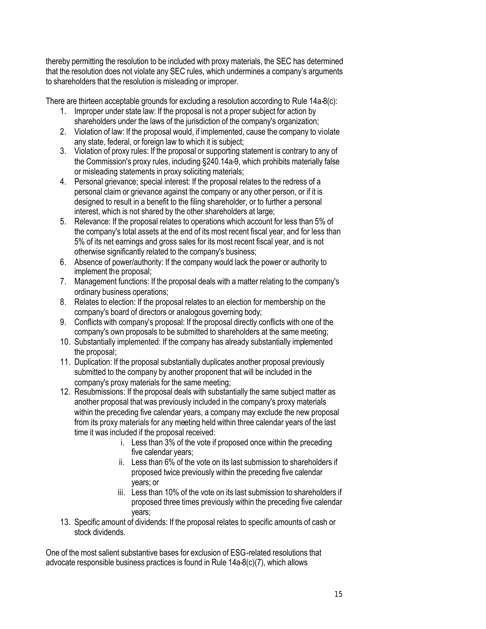thereby permitting the resolution to be included with proxy materials, the SEC has determined that the resolution does not violate any SEC rules, which undermines a company's arguments to shareholders that the resolution is misleading or improper.

There are thirteen acceptable grounds for excluding a resolution according to Rule 14a-8(c):

- 1. Improper under state law: If the proposal is not a proper subject for action by shareholders under the laws of the jurisdiction of the company's organization;
- 2. Violation of law: If the proposal would, if implemented, cause the company to violate any state, federal, or foreign law to which it is subject:
- 3. Violation of proxy rules: If the proposal or supporting statement is contrary to any of the Commission's proxy rules, including §240.14a-9, which prohibits materially false or misleading statements in proxy soliciting materials;
- 4. Personal grievance; special interest: If the proposal relates to the redress of a personal claim or grievance against the company or any other person, or if it is designed to result in a benefit to the filing shareholder, or to further a personal interest, which is not shared by the other shareholders at large;
- 5. Relevance: If the proposal relates to operations which account for less than 5% of the company's total assets at the end of its most recent fiscal year, and for less than 5% of its net earnings and gross sales for its most recent fiscal year, and is not otherwise significantly related to the company's business;
- 6. Absence of power/authority: If the company would lack the power or authority to implement the proposal;
- 7. Management functions: If the proposal deals with a matter relating to the company's ordinary business operations;
- 8. Relates to election: If the proposal relates to an election for membership on the company's board of directors or analogous governing body;
- 9. Conflicts with company's proposal: If the proposal directly conflicts with one of the company's own proposals to be submitted to shareholders at the same meeting;
- 10. Substantially implemented: If the company has already substantially implemented the proposal;
- 11. Duplication: If the proposal substantially duplicates another proposal previously submitted to the company by another proponent that will be included in the company's proxy materials for the same meeting;
- 12. Resubmissions: If the proposal deals with substantially the same subject matter as another proposal that was previously included in the company's proxy materials within the preceding five calendar years, a company may exclude the new proposal from its proxy materials for any meeting held within three calendar years of the last time it was included if the proposal received:
	- i. Less than 3% of the vote if proposed once within the preceding five calendar years;
	- ii. Less than 6% of the vote on its last submission to shareholders if proposed twice previously within the preceding five calendar years; or
	- iii. Less than 10% of the vote on its last submission to shareholders if proposed three times previously within the preceding five calendar years;
- 13. Specific amount of dividends: If the proposal relates to specific amounts of cash or stock dividends.

One of the most salient substantive bases for exclusion of ESG-related resolutions that advocate responsible business practices is found in Rule 14a-8(c)(7), which allows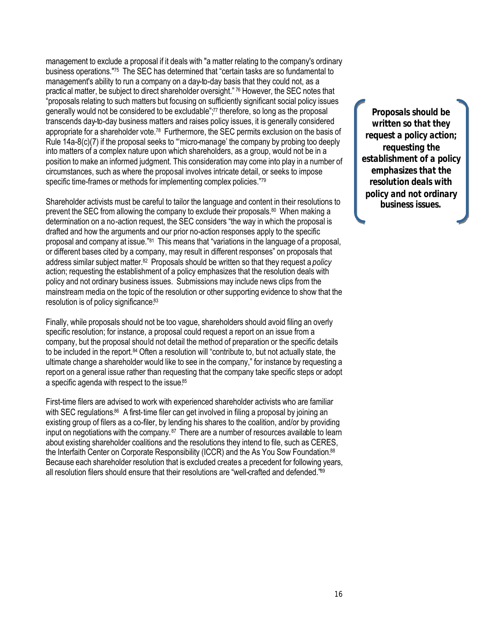management to exclude a proposal if it deals with "a matter relating to the company's ordinary business operations."<sup>75</sup> The SEC has determined that "certain tasks are so fundamental to management's ability to run a company on a day-to-day basis that they could not, as a practical matter, be subject to direct shareholder oversight." <sup>76</sup> However, the SEC notes that "proposals relating to such matters but focusing on sufficiently significant social policy issues generally would not be considered to be excludable";<sup>77</sup> therefore, so long as the proposal transcends day-to-day business matters and raises policy issues, it is generally considered appropriate for a shareholder vote.<sup>78</sup> Furthermore, the SEC permits exclusion on the basis of Rule 14a-8(c)(7) if the proposal seeks to "micro-manage' the company by probing too deeply into matters of a complex nature upon which shareholders, as a group, would not be in a position to make an informed judgment. This consideration may come into play in a number of circumstances, such as where the proposal involves intricate detail, or seeks to impose specific time-frames or methods for implementing complex policies."<sup>79</sup>

Shareholder activists must be careful to tailor the language and content in their resolutions to prevent the SEC from allowing the company to exclude their proposals.<sup>80</sup> When making a determination on a no-action request, the SEC considers "the way in which the proposal is drafted and how the arguments and our prior no-action responses apply to the specific proposal and company at issue."<sup>81</sup> This means that "variations in the language of a proposal, or different bases cited by a company, may result in different responses" on proposals that address similar subject matter.<sup>82</sup> Proposals should be written so that they request a *policy* action; requesting the establishment of a policy emphasizes that the resolution deals with policy and not ordinary business issues. Submissions may include news clips from the mainstream media on the topic of the resolution or other supporting evidence to show that the resolution is of policy significance.83

Finally, while proposals should not be too vague, shareholders should avoid filing an overly specific resolution; for instance, a proposal could request a report on an issue from a company, but the proposal should not detail the method of preparation or the specific details to be included in the report.<sup>84</sup> Often a resolution will "contribute to, but not actually state, the ultimate change a shareholder would like to see in the company," for instance by requesting a report on a general issue rather than requesting that the company take specific steps or adopt a specific agenda with respect to the issue.<sup>85</sup>

First-time filers are advised to work with experienced shareholder activists who are familiar with SEC regulations.<sup>86</sup> A first-time filer can get involved in filing a proposal by joining an existing group of filers as a co-filer, by lending his shares to the coalition, and/or by providing input on negotiations with the company.<sup>87</sup> There are a number of resources available to learn about existing shareholder coalitions and the resolutions they intend to file, such as CERES, the Interfaith Center on Corporate Responsibility (ICCR) and the As You Sow Foundation.<sup>88</sup> Because each shareholder resolution that is excluded creates a precedent for following years, all resolution filers should ensure that their resolutions are "well-crafted and defended."<sup>89</sup>

*Proposals should be written so that they request a policy action; requesting the establishment of a policy emphasizes that the resolution deals with policy and not ordinary business issues.*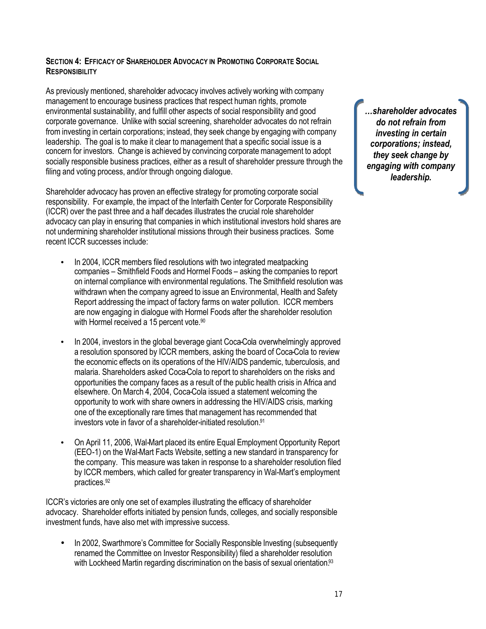# **SECTION 4: EFFICACY OF SHAREHOLDER ADVOCACY IN PROMOTING CORPORATE SOCIAL RESPONSIBILITY**

As previously mentioned, shareholder advocacy involves actively working with company management to encourage business practices that respect human rights, promote environmental sustainability, and fulfill other aspects of social responsibility and good corporate governance. Unlike with social screening, shareholder advocates do not refrain from investing in certain corporations; instead, they seek change by engaging with company leadership. The goal is to make it clear to management that a specific social issue is a concern for investors. Change is achieved by convincing corporate management to adopt socially responsible business practices, either as a result of shareholder pressure through the filing and voting process, and/or through ongoing dialogue.

Shareholder advocacy has proven an effective strategy for promoting corporate social responsibility. For example, the impact of the Interfaith Center for Corporate Responsibility (ICCR) over the past three and a half decades illustrates the crucial role shareholder advocacy can play in ensuring that companies in which institutional investors hold shares are not undermining shareholder institutional missions through their business practices. Some recent ICCR successes include:

- In 2004, ICCR members filed resolutions with two integrated meatpacking companies – Smithfield Foods and Hormel Foods – asking the companies to report on internal compliance with environmental regulations. The Smithfield resolution was withdrawn when the company agreed to issue an Environmental, Health and Safety Report addressing the impact of factory farms on water pollution. ICCR members are now engaging in dialogue with Hormel Foods after the shareholder resolution with Hormel received a 15 percent vote.<sup>90</sup>
- In 2004, investors in the global beverage giant Coca-Cola overwhelmingly approved a resolution sponsored by ICCR members, asking the board of Coca-Cola to review the economic effects on its operations of the HIV/AIDS pandemic, tuberculosis, and malaria. Shareholders asked Coca-Cola to report to shareholders on the risks and opportunities the company faces as a result of the public health crisis in Africa and elsewhere. On March 4, 2004, Coca-Cola issued a statement welcoming the opportunity to work with share owners in addressing the HIV/AIDS crisis, marking one of the exceptionally rare times that management has recommended that investors vote in favor of a shareholder-initiated resolution.<sup>91</sup>
- On April 11, 2006, Wal-Mart placed its entire Equal Employment Opportunity Report (EEO-1) on the Wal-Mart Facts Website, setting a new standard in transparency for the company. This measure was taken in response to a shareholder resolution filed by ICCR members, which called for greater transparency in Wal-Mart's employment practices.<sup>92</sup>

ICCR's victories are only one set of examples illustrating the efficacy of shareholder advocacy. Shareholder efforts initiated by pension funds, colleges, and socially responsible investment funds, have also met with impressive success.

• In 2002, Swarthmore's Committee for Socially Responsible Investing (subsequently renamed the Committee on Investor Responsibility) filed a shareholder resolution with Lockheed Martin regarding discrimination on the basis of sexual orientation.<sup>93</sup>

*…shareholder advocates do not refrain from investing in certain corporations; instead, they seek change by engaging with company leadership.*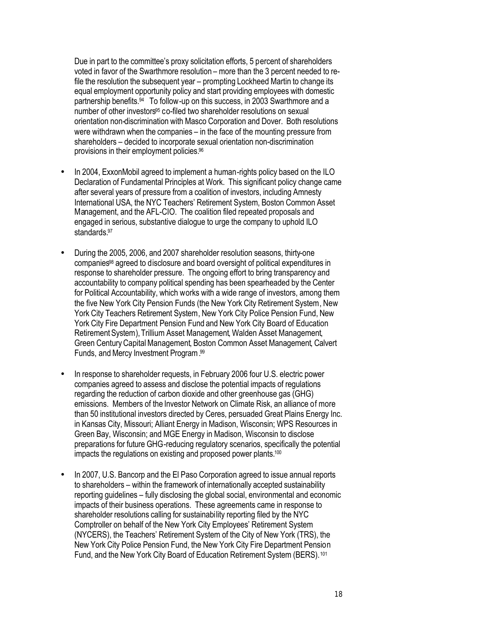Due in part to the committee's proxy solicitation efforts, 5 percent of shareholders voted in favor of the Swarthmore resolution – more than the 3 percent needed to refile the resolution the subsequent year – prompting Lockheed Martin to change its equal employment opportunity policy and start providing employees with domestic partnership benefits.<sup>94</sup> To follow-up on this success, in 2003 Swarthmore and a number of other investors<sup>95</sup> co-filed two shareholder resolutions on sexual orientation non-discrimination with Masco Corporation and Dover. Both resolutions were withdrawn when the companies – in the face of the mounting pressure from shareholders – decided to incorporate sexual orientation non-discrimination provisions in their employment policies.<sup>96</sup>

- In 2004, ExxonMobil agreed to implement a human-rights policy based on the ILO Declaration of Fundamental Principles at Work. This significant policy change came after several years of pressure from a coalition of investors, including Amnesty International USA, the NYC Teachers' Retirement System, Boston Common Asset Management, and the AFL-CIO. The coalition filed repeated proposals and engaged in serious, substantive dialogue to urge the company to uphold ILO standards.<sup>97</sup>
- During the 2005, 2006, and 2007 shareholder resolution seasons, thirty-one companies<sup>98</sup> agreed to disclosure and board oversight of political expenditures in response to shareholder pressure. The ongoing effort to bring transparency and accountability to company political spending has been spearheaded by the Center for Political Accountability, which works with a wide range of investors, among them the five New York City Pension Funds (the New York City Retirement System, New York City Teachers Retirement System, New York City Police Pension Fund, New York City Fire Department Pension Fund and New York City Board of Education RetirementSystem), Trillium Asset Management, Walden Asset Management, Green CenturyCapital Management, Boston Common Asset Management, Calvert Funds, and Mercy Investment Program. 99
- In response to shareholder requests, in February 2006 four U.S. electric power companies agreed to assess and disclose the potential impacts of regulations regarding the reduction of carbon dioxide and other greenhouse gas (GHG) emissions. Members of the Investor Network on Climate Risk, an alliance of more than 50 institutional investors directed by Ceres, persuaded Great Plains Energy Inc. in Kansas City, Missouri; Alliant Energy in Madison, Wisconsin; WPS Resources in Green Bay, Wisconsin; and MGE Energy in Madison, Wisconsin to disclose preparations for future GHG-reducing regulatory scenarios, specifically the potential impacts the regulations on existing and proposed power plants.<sup>100</sup>
- In 2007, U.S. Bancorp and the El Paso Corporation agreed to issue annual reports to shareholders – within the framework of internationally accepted sustainability reporting guidelines – fully disclosing the global social, environmental and economic impacts of their business operations. These agreements came in response to shareholder resolutions calling for sustainability reporting filed by the NYC Comptroller on behalf of the New York City Employees' Retirement System (NYCERS), the Teachers' Retirement System of the City of New York (TRS), the New York City Police Pension Fund, the New York City Fire Department Pension Fund, and the New York City Board of Education Retirement System (BERS).<sup>101</sup>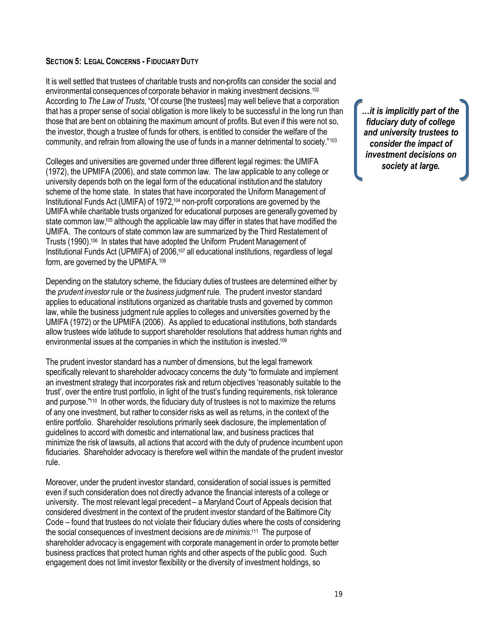## **SECTION 5: LEGAL CONCERNS - FIDUCIARY DUTY**

It is well settled that trustees of charitable trusts and non-profits can consider the social and environmental consequences of corporate behavior in making investment decisions.<sup>102</sup> According to *The Law of Trusts,* "Of course [the trustees] may well believe that a corporation that has a proper sense of social obligation is more likely to be successful in the long run than those that are bent on obtaining the maximum amount of profits. But even if this were not so, the investor, though a trustee of funds for others, is entitled to consider the welfare of the community, and refrain from allowing the use of funds in a manner detrimental to society."<sup>103</sup>

Colleges and universities are governed under three different legal regimes: the UMIFA (1972), the UPMIFA (2006), and state common law. The law applicable to any college or university depends both on the legal form of the educational institution and the statutory scheme of the home state. In states that have incorporated the Uniform Management of Institutional Funds Act (UMIFA) of 1972,<sup>104</sup> non-profit corporations are governed by the UMIFA while charitable trusts organized for educational purposes are generally governed by state common law,<sup>105</sup> although the applicable law may differ in states that have modified the UMIFA. The contours of state common law are summarized by the Third Restatement of Trusts (1990).<sup>106</sup> In states that have adopted the Uniform Prudent Management of Institutional Funds Act (UPMIFA) of 2006,<sup>107</sup> all educational institutions, regardless of legal form, are governed by the UPMIFA.<sup>108</sup>

Depending on the statutory scheme, the fiduciary duties of trustees are determined either by the *prudent investor* rule or the *business judgment* rule. The prudent investor standard applies to educational institutions organized as charitable trusts and governed by common law, while the business judgment rule applies to colleges and universities governed by the UMIFA (1972) or the UPMIFA (2006). As applied to educational institutions, both standards allow trustees wide latitude to support shareholder resolutions that address human rights and environmental issues at the companies in which the institution is invested.<sup>109</sup>

The prudent investor standard has a number of dimensions, but the legal framework specifically relevant to shareholder advocacy concerns the duty "to formulate and implement an investment strategy that incorporates risk and return objectives 'reasonably suitable to the trust', over the entire trust portfolio, in light of the trust's funding requirements, risk tolerance and purpose."<sup>110</sup> In other words, the fiduciary duty of trustees is not to maximize the returns of any one investment, but rather to consider risks as well as returns, in the context of the entire portfolio. Shareholder resolutions primarily seek disclosure, the implementation of guidelines to accord with domestic and international law, and business practices that minimize the risk of lawsuits, all actions that accord with the duty of prudence incumbent upon fiduciaries. Shareholder advocacy is therefore well within the mandate of the prudent investor rule.

Moreover, under the prudent investor standard, consideration of social issues is permitted even if such consideration does not directly advance the financial interests of a college or university. The most relevant legal precedent – a Maryland Court of Appeals decision that considered divestment in the context of the prudent investor standard of the Baltimore City Code – found that trustees do not violate their fiduciary duties where the costs of considering the social consequences of investment decisions are *de minimis*.<sup>111</sup> The purpose of shareholder advocacy is engagement with corporate management in order to promote better business practices that protect human rights and other aspects of the public good. Such engagement does not limit investor flexibility or the diversity of investment holdings, so

*…it is implicitly part of the fiduciary duty of college and university trustees to consider the impact of investment decisions on society at large.*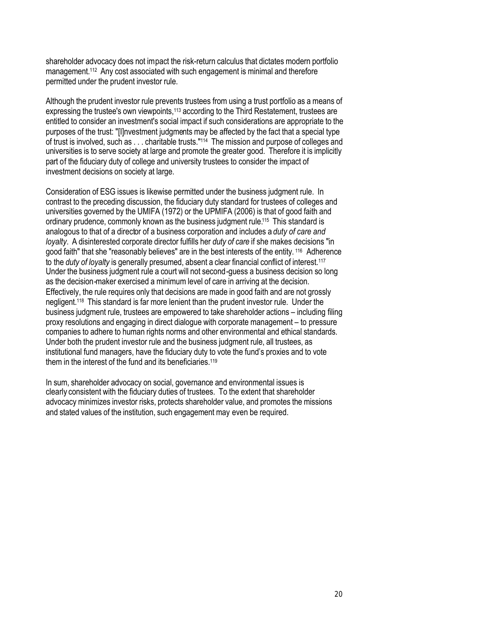shareholder advocacy does not impact the risk-return calculus that dictates modern portfolio management.<sup>112</sup> Any cost associated with such engagement is minimal and therefore permitted under the prudent investor rule.

Although the prudent investor rule prevents trustees from using a trust portfolio as a means of expressing the trustee's own viewpoints,<sup>113</sup> according to the Third Restatement, trustees are entitled to consider an investment's social impact if such considerations are appropriate to the purposes of the trust: "[I]nvestment judgments may be affected by the fact that a special type of trust is involved, such as . . . charitable trusts."<sup>114</sup> The mission and purpose of colleges and universities is to serve society at large and promote the greater good. Therefore it is implicitly part of the fiduciary duty of college and university trustees to consider the impact of investment decisions on society at large.

Consideration of ESG issues is likewise permitted under the business judgment rule. In contrast to the preceding discussion, the fiduciary duty standard for trustees of colleges and universities governed by the UMIFA (1972) or the UPMIFA (2006) is that of good faith and ordinary prudence, commonly known as the business judgment rule.<sup>115</sup> This standard is analogous to that of a director of a business corporation and includes a *duty of care and loyalty*. A disinterested corporate director fulfills her *duty of care* if she makes decisions "in good faith" that she "reasonably believes" are in the best interests of the entity. <sup>116</sup> Adherence to the *duty of loyalty* is generally presumed, absent a clear financial conflict of interest.<sup>117</sup> Under the business judgment rule a court will not second-guess a business decision so long as the decision-maker exercised a minimum level of care in arriving at the decision. Effectively, the rule requires only that decisions are made in good faith and are not grossly negligent.<sup>118</sup> This standard is far more lenient than the prudent investor rule. Under the business judgment rule, trustees are empowered to take shareholder actions – including filing proxy resolutions and engaging in direct dialogue with corporate management – to pressure companies to adhere to human rights norms and other environmental and ethical standards. Under both the prudent investor rule and the business judgment rule, all trustees, as institutional fund managers, have the fiduciary duty to vote the fund's proxies and to vote them in the interest of the fund and its beneficiaries.<sup>119</sup>

In sum, shareholder advocacy on social, governance and environmental issues is clearly consistent with the fiduciary duties of trustees. To the extent that shareholder advocacy minimizes investor risks, protects shareholder value, and promotes the missions and stated values of the institution, such engagement may even be required.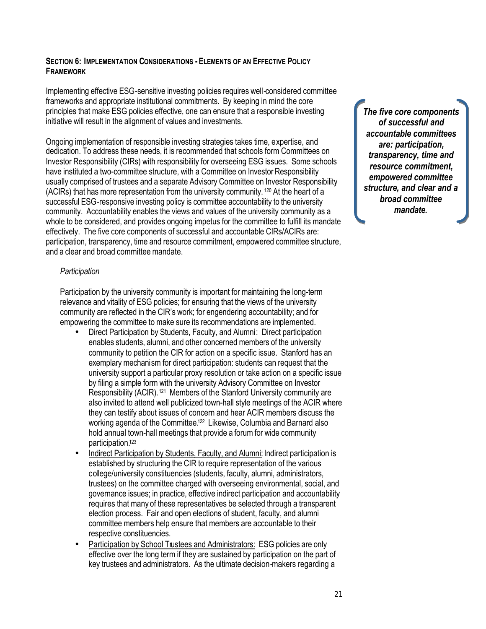# **SECTION 6: IMPLEMENTATION CONSIDERATIONS -ELEMENTS OF AN EFFECTIVE POLICY FRAMEWORK**

Implementing effective ESG-sensitive investing policies requires well-considered committee frameworks and appropriate institutional commitments. By keeping in mind the core principles that make ESG policies effective, one can ensure that a responsible investing initiative will result in the alignment of values and investments.

Ongoing implementation of responsible investing strategies takes time, expertise, and dedication. To address these needs, it is recommended that schools form Committees on Investor Responsibility (CIRs) with responsibility for overseeing ESG issues. Some schools have instituted a two-committee structure, with a Committee on Investor Responsibility usually comprised of trustees and a separate Advisory Committee on Investor Responsibility (ACIRs) that has more representation from the university community. <sup>120</sup> At the heart of a successful ESG-responsive investing policy is committee accountability to the university community. Accountability enables the views and values of the university community as a whole to be considered, and provides ongoing impetus for the committee to fulfill its mandate effectively. The five core components of successful and accountable CIRs/ACIRs are: participation, transparency, time and resource commitment, empowered committee structure, and a clear and broad committee mandate.

# *Participation*

Participation by the university community is important for maintaining the long-term relevance and vitality of ESG policies; for ensuring that the views of the university community are reflected in the CIR's work; for engendering accountability; and for empowering the committee to make sure its recommendations are implemented.

- Direct Participation by Students, Faculty, and Alumni: Direct participation enables students, alumni, and other concerned members of the university community to petition the CIR for action on a specific issue. Stanford has an exemplary mechanism for direct participation: students can request that the university support a particular proxy resolution or take action on a specific issue by filing a simple form with the university Advisory Committee on Investor Responsibility (ACIR).<sup>121</sup> Members of the Stanford University community are also invited to attend well publicized town-hall style meetings of the ACIR where they can testify about issues of concern and hear ACIR members discuss the working agenda of the Committee.<sup>122</sup> Likewise, Columbia and Barnard also hold annual town-hall meetings that provide a forum for wide community participation.<sup>123</sup>
- Indirect Participation by Students, Faculty, and Alumni: Indirect participation is established by structuring the CIR to require representation of the various college/university constituencies (students, faculty, alumni, administrators, trustees) on the committee charged with overseeing environmental, social, and governance issues; in practice, effective indirect participation and accountability requires that many of these representatives be selected through a transparent election process. Fair and open elections of student, faculty, and alumni committee members help ensure that members are accountable to their respective constituencies.
- Participation by School Trustees and Administrators: ESG policies are only effective over the long term if they are sustained by participation on the part of key trustees and administrators. As the ultimate decision-makers regarding a

*The five core components of successful and accountable committees are: participation, transparency, time and resource commitment, empowered committee structure, and clear and a broad committee mandate.*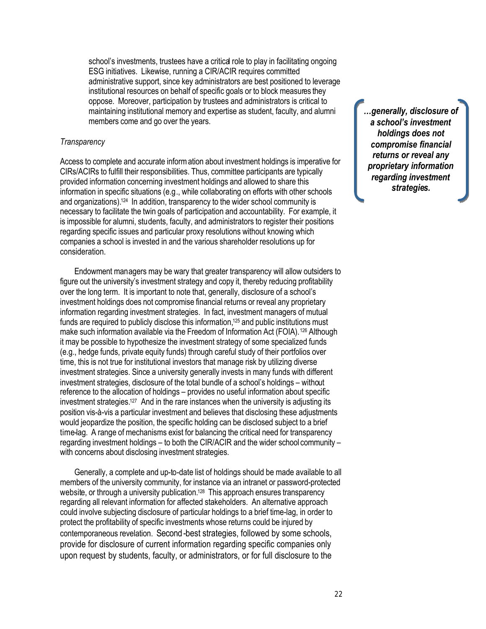school's investments, trustees have a critical role to play in facilitating ongoing ESG initiatives. Likewise, running a CIR/ACIR requires committed administrative support, since key administrators are best positioned to leverage institutional resources on behalf of specific goals or to block measures they oppose. Moreover, participation by trustees and administrators is critical to maintaining institutional memory and expertise as student, faculty, and alumni members come and go over the years.

#### *Transparency*

Access to complete and accurate information about investment holdings is imperative for CIRs/ACIRs to fulfill their responsibilities. Thus, committee participants are typically provided information concerning investment holdings and allowed to share this information in specific situations (e.g., while collaborating on efforts with other schools and organizations).<sup>124</sup> In addition, transparency to the wider school community is necessary to facilitate the twin goals of participation and accountability. For example, it is impossible for alumni, students, faculty, and administrators to register their positions regarding specific issues and particular proxy resolutions without knowing which companies a school is invested in and the various shareholder resolutions up for consideration.

Endowment managers may be wary that greater transparency will allow outsiders to figure out the university's investment strategy and copy it, thereby reducing profitability over the long term. It is important to note that, generally, disclosure of a school's investment holdings does not compromise financial returns or reveal any proprietary information regarding investment strategies. In fact, investment managers of mutual funds are required to publicly disclose this information,<sup>125</sup> and public institutions must make such information available via the Freedom of Information Act (FOIA).<sup>126</sup> Although it may be possible to hypothesize the investment strategy of some specialized funds (e.g., hedge funds, private equity funds) through careful study of their portfolios over time, this is not true for institutional investors that manage risk by utilizing diverse investment strategies. Since a university generally invests in many funds with different investment strategies, disclosure of the total bundle of a school's holdings – without reference to the allocation of holdings – provides no useful information about specific investment strategies.<sup>127</sup> And in the rare instances when the university is adjusting its position vis-à-vis a particular investment and believes that disclosing these adjustments would jeopardize the position, the specific holding can be disclosed subject to a brief time-lag. A range of mechanisms exist for balancing the critical need for transparency regarding investment holdings – to both the CIR/ACIR and the wider school community – with concerns about disclosing investment strategies.

Generally, a complete and up-to-date list of holdings should be made available to all members of the university community, for instance via an intranet or password-protected website, or through a university publication.<sup>128</sup> This approach ensures transparency regarding all relevant information for affected stakeholders. An alternative approach could involve subjecting disclosure of particular holdings to a brief time-lag, in order to protect the profitability of specific investments whose returns could be injured by contemporaneous revelation. Second-best strategies, followed by some schools, provide for disclosure of current information regarding specific companies only upon request by students, faculty, or administrators, or for full disclosure to the

*…generally, disclosure of a school's investment holdings does not compromise financial returns or reveal any proprietary information regarding investment strategies.*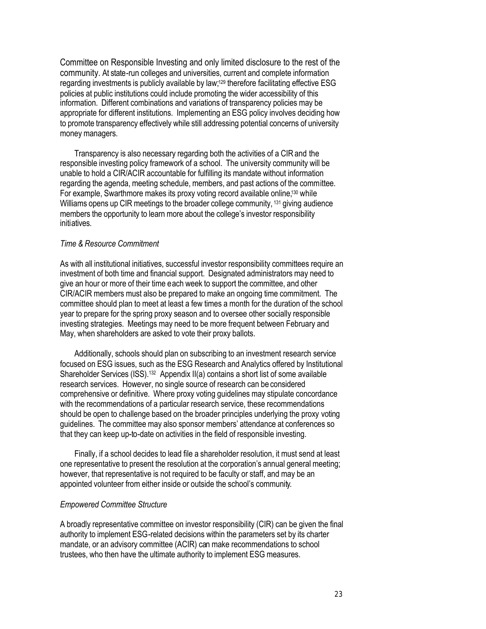Committee on Responsible Investing and only limited disclosure to the rest of the community. At state-run colleges and universities, current and complete information regarding investments is publicly available by law;<sup>129</sup> therefore facilitating effective ESG policies at public institutions could include promoting the wider accessibility of this information. Different combinations and variations of transparency policies may be appropriate for different institutions. Implementing an ESG policy involves deciding how to promote transparency effectively while still addressing potential concerns of university money managers.

Transparency is also necessary regarding both the activities of a CIR and the responsible investing policy framework of a school. The university community will be unable to hold a CIR/ACIR accountable for fulfilling its mandate without information regarding the agenda, meeting schedule, members, and past actions of the committee. For example, Swarthmore makes its proxy voting record available online,<sup>130</sup> while Williams opens up CIR meetings to the broader college community, <sup>131</sup> giving audience members the opportunity to learn more about the college's investor responsibility initiatives.

#### *Time & Resource Commitment*

As with all institutional initiatives, successful investor responsibility committees require an investment of both time and financial support. Designated administrators may need to give an hour or more of their time each week to support the committee, and other CIR/ACIR members must also be prepared to make an ongoing time commitment. The committee should plan to meet at least a few times a month for the duration of the school year to prepare for the spring proxy season and to oversee other socially responsible investing strategies. Meetings may need to be more frequent between February and May, when shareholders are asked to vote their proxy ballots.

Additionally, schools should plan on subscribing to an investment research service focused on ESG issues, such as the ESG Research and Analytics offered by Institutional Shareholder Services (ISS).<sup>132</sup> Appendix II(a) contains a short list of some available research services. However, no single source of research can be considered comprehensive or definitive. Where proxy voting guidelines may stipulate concordance with the recommendations of a particular research service, these recommendations should be open to challenge based on the broader principles underlying the proxy voting guidelines. The committee may also sponsor members' attendance at conferences so that they can keep up-to-date on activities in the field of responsible investing.

Finally, if a school decides to lead file a shareholder resolution, it must send at least one representative to present the resolution at the corporation's annual general meeting; however, that representative is not required to be faculty or staff, and may be an appointed volunteer from either inside or outside the school's community.

## *Empowered Committee Structure*

A broadly representative committee on investor responsibility (CIR) can be given the final authority to implement ESG-related decisions within the parameters set by its charter mandate, or an advisory committee (ACIR) can make recommendations to school trustees, who then have the ultimate authority to implement ESG measures.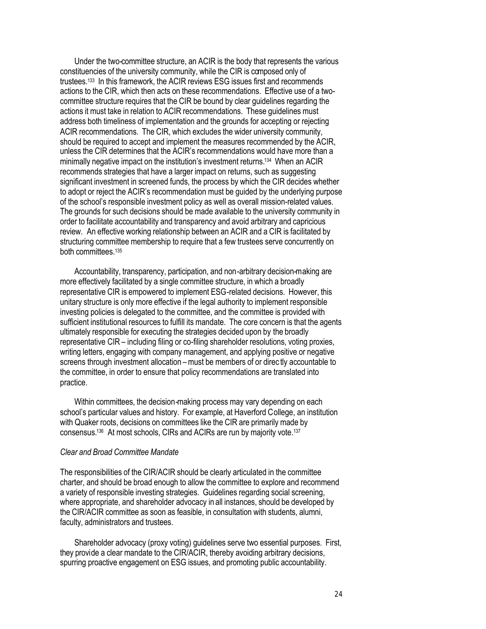Under the two-committee structure, an ACIR is the body that represents the various constituencies of the university community, while the CIR is composed only of trustees.<sup>133</sup> In this framework, the ACIR reviews ESG issues first and recommends actions to the CIR, which then acts on these recommendations. Effective use of a twocommittee structure requires that the CIR be bound by clear guidelines regarding the actions it must take in relation to ACIR recommendations. These guidelines must address both timeliness of implementation and the grounds for accepting or rejecting ACIR recommendations. The CIR, which excludes the wider university community, should be required to accept and implement the measures recommended by the ACIR, unless the CIR determines that the ACIR's recommendations would have more than a minimally negative impact on the institution's investment returns.<sup>134</sup> When an ACIR recommends strategies that have a larger impact on returns, such as suggesting significant investment in screened funds, the process by which the CIR decides whether to adopt or reject the ACIR's recommendation must be guided by the underlying purpose of the school's responsible investment policy as well as overall mission-related values. The grounds for such decisions should be made available to the university community in order to facilitate accountability and transparency and avoid arbitrary and capricious review. An effective working relationship between an ACIR and a CIR is facilitated by structuring committee membership to require that a few trustees serve concurrently on both committees.<sup>135</sup>

Accountability, transparency, participation, and non-arbitrary decision-making are more effectively facilitated by a single committee structure, in which a broadly representative CIR is empowered to implement ESG-related decisions. However, this unitary structure is only more effective if the legal authority to implement responsible investing policies is delegated to the committee, and the committee is provided with sufficient institutional resources to fulfill its mandate. The core concern is that the agents ultimately responsible for executing the strategies decided upon by the broadly representative CIR – including filing or co-filing shareholder resolutions, voting proxies, writing letters, engaging with company management, and applying positive or negative screens through investment allocation – must be members of or direc tly accountable to the committee, in order to ensure that policy recommendations are translated into practice.

Within committees, the decision-making process may vary depending on each school's particular values and history. For example, at Haverford College, an institution with Quaker roots, decisions on committees like the CIR are primarily made by consensus.<sup>136</sup> At most schools, CIRs and ACIRs are run by majority vote.<sup>137</sup>

#### *Clear and Broad Committee Mandate*

The responsibilities of the CIR/ACIR should be clearly articulated in the committee charter, and should be broad enough to allow the committee to explore and recommend a variety of responsible investing strategies. Guidelines regarding social screening, where appropriate, and shareholder advocacy in all instances, should be developed by the CIR/ACIR committee as soon as feasible, in consultation with students, alumni, faculty, administrators and trustees.

Shareholder advocacy (proxy voting) guidelines serve two essential purposes. First, they provide a clear mandate to the CIR/ACIR, thereby avoiding arbitrary decisions, spurring proactive engagement on ESG issues, and promoting public accountability.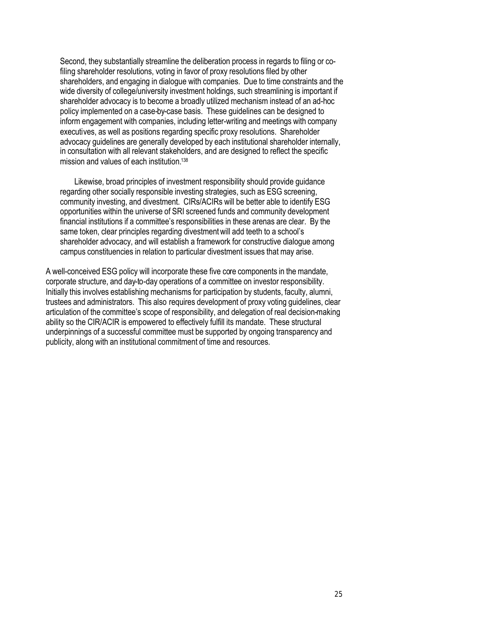Second, they substantially streamline the deliberation process in regards to filing or cofiling shareholder resolutions, voting in favor of proxy resolutions filed by other shareholders, and engaging in dialogue with companies. Due to time constraints and the wide diversity of college/university investment holdings, such streamlining is important if shareholder advocacy is to become a broadly utilized mechanism instead of an ad-hoc policy implemented on a case-by-case basis. These guidelines can be designed to inform engagement with companies, including letter-writing and meetings with company executives, as well as positions regarding specific proxy resolutions. Shareholder advocacy guidelines are generally developed by each institutional shareholder internally, in consultation with all relevant stakeholders, and are designed to reflect the specific mission and values of each institution.<sup>138</sup>

Likewise, broad principles of investment responsibility should provide guidance regarding other socially responsible investing strategies, such as ESG screening, community investing, and divestment. CIRs/ACIRs will be better able to identify ESG opportunities within the universe of SRI screened funds and community development financial institutions if a committee's responsibilities in these arenas are clear. By the same token, clear principles regarding divestmentwill add teeth to a school's shareholder advocacy, and will establish a framework for constructive dialogue among campus constituencies in relation to particular divestment issues that may arise.

A well-conceived ESG policy will incorporate these five core components in the mandate, corporate structure, and day-to-day operations of a committee on investor responsibility. Initially this involves establishing mechanisms for participation by students, faculty, alumni, trustees and administrators. This also requires development of proxy voting guidelines, clear articulation of the committee's scope of responsibility, and delegation of real decision-making ability so the CIR/ACIR is empowered to effectively fulfill its mandate. These structural underpinnings of a successful committee must be supported by ongoing transparency and publicity, along with an institutional commitment of time and resources.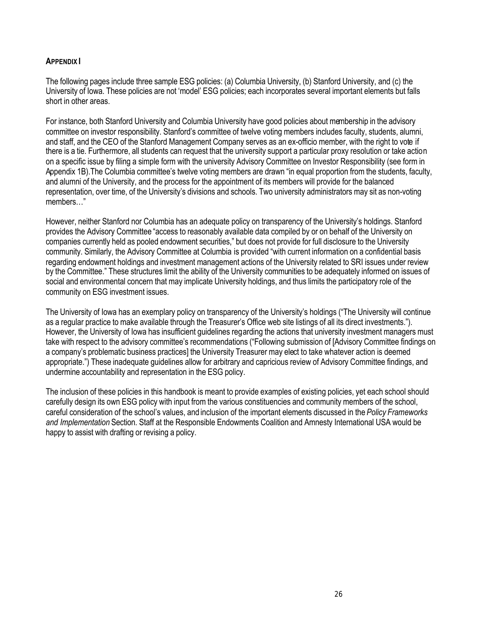# **APPENDIX I**

The following pages include three sample ESG policies: (a) Columbia University, (b) Stanford University, and (c) the University of Iowa. These policies are not 'model' ESG policies; each incorporates several important elements but falls short in other areas.

For instance, both Stanford University and Columbia University have good policies about membership in the advisory committee on investor responsibility. Stanford's committee of twelve voting members includes faculty, students, alumni, and staff, and the CEO of the Stanford Management Company serves as an ex-officio member, with the right to vote if there is a tie. Furthermore, all students can request that the university support a particular proxy resolution or take action on a specific issue by filing a simple form with the university Advisory Committee on Investor Responsibility (see form in Appendix 1B).The Columbia committee's twelve voting members are drawn "in equal proportion from the students, faculty, and alumni of the University, and the process for the appointment of its members will provide for the balanced representation, over time, of the University's divisions and schools. Two university administrators may sit as non-voting members…"

However, neither Stanford nor Columbia has an adequate policy on transparency of the University's holdings. Stanford provides the Advisory Committee "access to reasonably available data compiled by or on behalf of the University on companies currently held as pooled endowment securities," but does not provide for full disclosure to the University community. Similarly, the Advisory Committee at Columbia is provided "with current information on a confidential basis regarding endowment holdings and investment management actions of the University related to SRI issues under review by the Committee." These structures limit the ability of the University communities to be adequately informed on issues of social and environmental concern that may implicate University holdings, and thus limits the participatory role of the community on ESG investment issues.

The University of Iowa has an exemplary policy on transparency of the University's holdings ("The University will continue as a regular practice to make available through the Treasurer's Office web site listings of all its direct investments."). However, the University of Iowa has insufficient guidelines regarding the actions that university investment managers must take with respect to the advisory committee's recommendations ("Following submission of [Advisory Committee findings on a company's problematic business practices] the University Treasurer may elect to take whatever action is deemed appropriate.") These inadequate guidelines allow for arbitrary and capricious review of Advisory Committee findings, and undermine accountability and representation in the ESG policy.

The inclusion of these policies in this handbook is meant to provide examples of existing policies, yet each school should carefully design its own ESG policy with input from the various constituencies and community members of the school, careful consideration of the school's values, and inclusion of the important elements discussed in the *Policy Frameworks and Implementation* Section. Staff at the Responsible Endowments Coalition and Amnesty International USA would be happy to assist with drafting or revising a policy.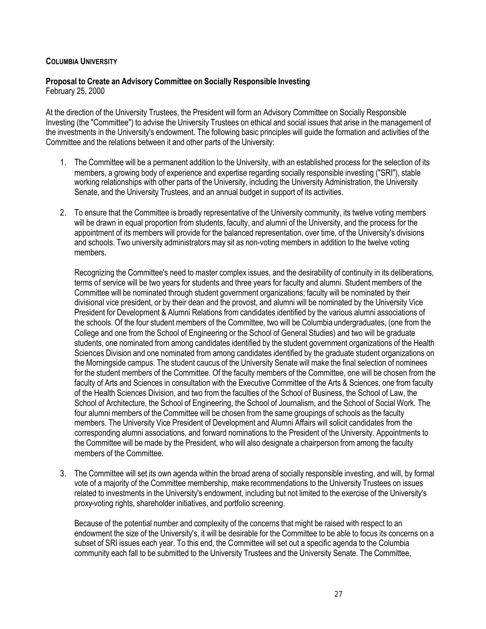# **COLUMBIA UNIVERSITY**

## **Proposal to Create an Advisory Committee on Socially Responsible Investing** February 25, 2000

At the direction of the University Trustees, the President will form an Advisory Committee on Socially Responsible Investing (the "Committee") to advise the University Trustees on ethical and social issues that arise in the management of the investments in the University's endowment. The following basic principles will guide the formation and activities of the Committee and the relations between it and other parts of the University:

- 1. The Committee will be a permanent addition to the University, with an established process for the selection of its members, a growing body of experience and expertise regarding socially responsible investing ("SRI"), stable working relationships with other parts of the University, including the University Administration, the University Senate, and the University Trustees, and an annual budget in support of its activities.
- 2. To ensure that the Committee is broadly representative of the University community, its twelve voting members will be drawn in equal proportion from students, faculty, and alumni of the University, and the process for the appointment of its members will provide for the balanced representation, over time, of the University's divisions and schools. Two university administrators may sit as non-voting members in addition to the twelve voting members.

Recognizing the Committee's need to master complex issues, and the desirability of continuity in its deliberations, terms of service will be two years for students and three years for faculty and alumni. Student members of the Committee will be nominated through student government organizations; faculty will be nominated by their divisional vice president, or by their dean and the provost, and alumni will be nominated by the University Vice President for Development & Alumni Relations from candidates identified by the various alumni associations of the schools. Of the four student members of the Committee, two will be Columbia undergraduates, (one from the College and one from the School of Engineering or the School of General Studies) and two will be graduate students, one nominated from among candidates identified by the student government organizations of the Health Sciences Division and one nominated from among candidates identified by the graduate student organizations on the Morningside campus. The student caucus of the University Senate will make the final selection of nominees for the student members of the Committee. Of the faculty members of the Committee, one will be chosen from the faculty of Arts and Sciences in consultation with the Executive Committee of the Arts & Sciences, one from faculty of the Health Sciences Division, and two from the faculties of the School of Business, the School of Law, the School of Architecture, the School of Engineering, the School of Journalism, and the School of Social Work. The four alumni members of the Committee will be chosen from the same groupings of schools as the faculty members. The University Vice President of Development and Alumni Affairs will solicit candidates from the corresponding alumni associations, and forward nominations to the President of the University. Appointments to the Committee will be made by the President, who will also designate a chairperson from among the faculty members of the Committee.

3. The Committee will set its own agenda within the broad arena of socially responsible investing, and will, by formal vote of a majority of the Committee membership, make recommendations to the University Trustees on issues related to investments in the University's endowment, including but not limited to the exercise of the University's proxy-voting rights, shareholder initiatives, and portfolio screening.

Because of the potential number and complexity of the concerns that might be raised with respect to an endowment the size of the University's, it will be desirable for the Committee to be able to focus its concerns on a subset of SRI issues each year. To this end, the Committee will set out a specific agenda to the Columbia community each fall to be submitted to the University Trustees and the University Senate. The Committee,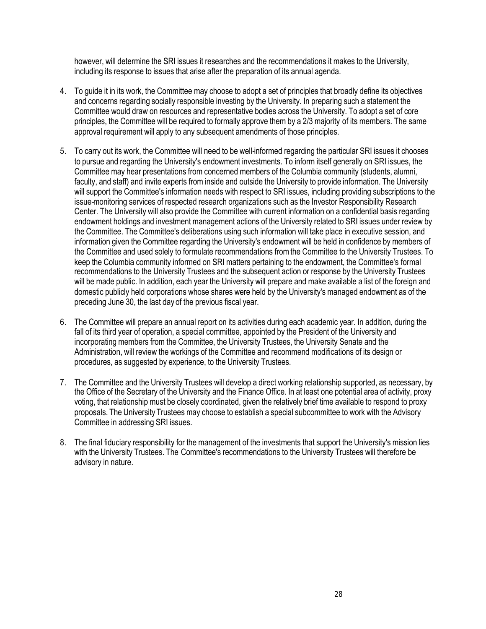however, will determine the SRI issues it researches and the recommendations it makes to the University, including its response to issues that arise after the preparation of its annual agenda.

- 4. To guide it in its work, the Committee may choose to adopt a set of principles that broadly define its objectives and concerns regarding socially responsible investing by the University. In preparing such a statement the Committee would draw on resources and representative bodies across the University. To adopt a set of core principles, the Committee will be required to formally approve them by a 2/3 majority of its members. The same approval requirement will apply to any subsequent amendments of those principles.
- 5. To carry out its work, the Committee will need to be well-informed regarding the particular SRI issues it chooses to pursue and regarding the University's endowment investments. To inform itself generally on SRI issues, the Committee may hear presentations from concerned members of the Columbia community (students, alumni, faculty, and staff) and invite experts from inside and outside the University to provide information. The University will support the Committee's information needs with respect to SRI issues, including providing subscriptions to the issue-monitoring services of respected research organizations such as the Investor Responsibility Research Center. The University will also provide the Committee with current information on a confidential basis regarding endowment holdings and investment management actions of the University related to SRI issues under review by the Committee. The Committee's deliberations using such information will take place in executive session, and information given the Committee regarding the University's endowment will be held in confidence by members of the Committee and used solely to formulate recommendations from the Committee to the University Trustees. To keep the Columbia community informed on SRI matters pertaining to the endowment, the Committee's formal recommendations to the University Trustees and the subsequent action or response by the University Trustees will be made public. In addition, each year the University will prepare and make available a list of the foreign and domestic publicly held corporations whose shares were held by the University's managed endowment as of the preceding June 30, the last day of the previous fiscal year.
- 6. The Committee will prepare an annual report on its activities during each academic year. In addition, during the fall of its third year of operation, a special committee, appointed by the President of the University and incorporating members from the Committee, the University Trustees, the University Senate and the Administration, will review the workings of the Committee and recommend modifications of its design or procedures, as suggested by experience, to the University Trustees.
- 7. The Committee and the University Trustees will develop a direct working relationship supported, as necessary, by the Office of the Secretary of the University and the Finance Office. In at least one potential area of activity, proxy voting, that relationship must be closely coordinated, given the relatively brief time available to respond to proxy proposals. The University Trustees may choose to establish a special subcommittee to work with the Advisory Committee in addressing SRI issues.
- 8. The final fiduciary responsibility for the management of the investments that support the University's mission lies with the University Trustees. The Committee's recommendations to the University Trustees will therefore be advisory in nature.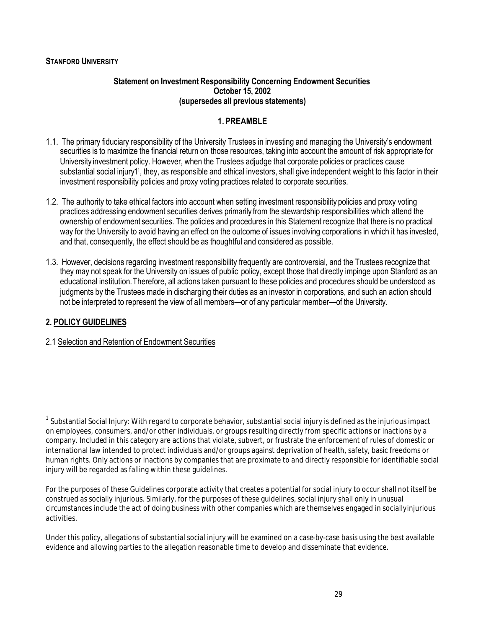# **STANFORD UNIVERSITY**

## **Statement on Investment Responsibility Concerning Endowment Securities October 15, 2002 (supersedes all previous statements)**

# **1. PREAMBLE**

- 1.1. The primary fiduciary responsibility of the University Trustees in investing and managing the University's endowment securities is to maximize the financial return on those resources, taking into account the amount of risk appropriate for University investment policy. However, when the Trustees adjudge that corporate policies or practices cause substantial social injury11, they, as responsible and ethical investors, shall give independent weight to this factor in their investment responsibility policies and proxy voting practices related to corporate securities.
- 1.2. The authority to take ethical factors into account when setting investment responsibility policies and proxy voting practices addressing endowment securities derives primarily from the stewardship responsibilities which attend the ownership of endowment securities. The policies and procedures in this Statement recognize that there is no practical way for the University to avoid having an effect on the outcome of issues involving corporations in which it has invested, and that, consequently, the effect should be as thoughtful and considered as possible.
- 1.3. However, decisions regarding investment responsibility frequently are controversial, and the Trustees recognize that they may not speak for the University on issues of public policy, except those that directly impinge upon Stanford as an educational institution.Therefore, all actions taken pursuant to these policies and procedures should be understood as judgments by the Trustees made in discharging their duties as an investor in corporations, and such an action should not be interpreted to represent the view of all members—or of any particular member—of the University.

# **2. POLICY GUIDELINES**

 $\overline{a}$ 

2.1 Selection and Retention of Endowment Securities

 $^{\rm 1}$  Substantial Social Injury: With regard to corporate behavior, substantial social injury is defined as the injurious impact on employees, consumers, and/or other individuals, or groups resulting directly from specific actions or inactions by a company. Included in this category are actions that violate, subvert, or frustrate the enforcement of rules of domestic or international law intended to protect individuals and/or groups against deprivation of health, safety, basic freedoms or human rights. Only actions or inactions by companies that are proximate to and directly responsible for identifiable social injury will be regarded as falling within these guidelines.

For the purposes of these Guidelines corporate activity that creates a potential for social injury to occur shall not itself be construed as socially injurious. Similarly, for the purposes of these guidelines, social injury shall only in unusual circumstances include the act of doing business with other companies which are themselves engaged in sociallyinjurious activities.

Under this policy, allegations of substantial social injury will be examined on a case-by-case basis using the best available evidence and allowing parties to the allegation reasonable time to develop and disseminate that evidence.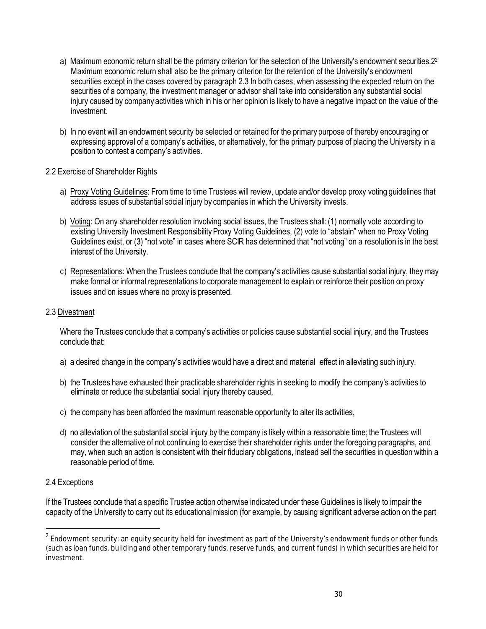- a) Maximum economic return shall be the primary criterion for the selection of the University's endowment securities.2<sup>2</sup> Maximum economic return shall also be the primary criterion for the retention of the University's endowment securities except in the cases covered by paragraph 2.3 In both cases, when assessing the expected return on the securities of a company, the investment manager or advisor shall take into consideration any substantial social iniury caused by company activities which in his or her opinion is likely to have a negative impact on the value of the investment.
- b) In no event will an endowment security be selected or retained for the primary purpose of thereby encouraging or expressing approval of a company's activities, or alternatively, for the primary purpose of placing the University in a position to contest a company's activities.

# 2.2 Exercise of Shareholder Rights

- a) Proxy Voting Guidelines: From time to time Trustees will review, update and/or develop proxy voting guidelines that address issues of substantial social injury by companies in which the University invests.
- b) Voting: On any shareholder resolution involving social issues, the Trustees shall:(1) normally vote according to existing University Investment Responsibility Proxy Voting Guidelines, (2) vote to "abstain" when no Proxy Voting Guidelines exist, or (3) "not vote" in cases where SCIR has determined that "not voting" on a resolution is in the best interest of the University.
- c) Representations: When the Trustees conclude that the company's activities cause substantial social injury, they may make formal or informal representations to corporate management to explain or reinforce their position on proxy issues and on issues where no proxy is presented.

## 2.3 Divestment

Where the Trustees conclude that a company's activities or policies cause substantial social injury, and the Trustees conclude that:

- a) a desired change in the company's activities would have a direct and material effect in alleviating such injury,
- b) the Trustees have exhausted their practicable shareholder rights in seeking to modify the company's activities to eliminate or reduce the substantial social injury thereby caused,
- c) the company has been afforded the maximum reasonable opportunity to alter its activities,
- d) no alleviation of the substantial social injury by the company is likely within a reasonable time; the Trustees will consider the alternative of not continuing to exercise their shareholder rights under the foregoing paragraphs, and may, when such an action is consistent with their fiduciary obligations, instead sell the securities in question within a reasonable period of time.

## 2.4 Exceptions

 $\overline{a}$ 

If the Trustees conclude that a specific Trustee action otherwise indicated under these Guidelines is likely to impair the capacity of the University to carry out its educationalmission (for example, by causing significant adverse action on the part

 $^{\rm 2}$  Endowment security: an equity security held for investment as part of the University's endowment funds or other funds (such as loan funds, building and other temporary funds, reserve funds, and current funds) in which securities are held for investment.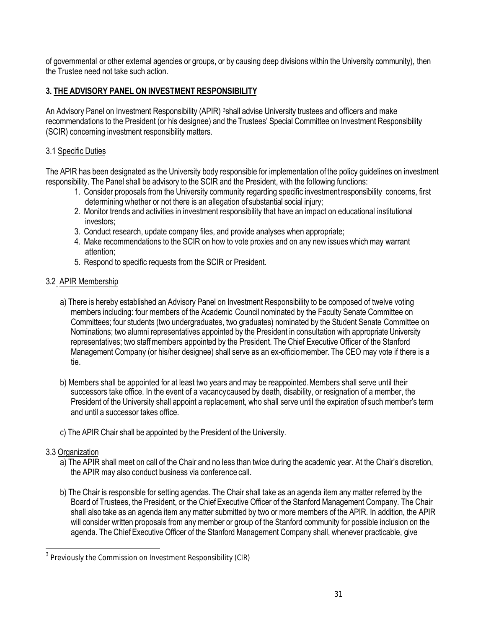of governmental or other external agencies or groups, or by causing deep divisions within the University community), then the Trustee need not take such action.

# **3. THE ADVISORY PANEL ON INVESTMENT RESPONSIBILITY**

An Advisory Panel on Investment Responsibility (APIR) 3shall advise University trustees and officers and make recommendations to the President (or his designee) and the Trustees' Special Committee on Investment Responsibility (SCIR) concerning investment responsibility matters.

# 3.1 Specific Duties

The APIR has been designated as the University body responsible for implementation of the policy guidelines on investment responsibility. The Panel shall be advisory to the SCIR and the President, with the following functions:

- 1. Consider proposals from the University community regarding specific investmentresponsibility concerns, first determining whether or not there is an allegation of substantial social injury;
- 2. Monitor trends and activities in investment responsibility that have an impact on educational institutional investors;
- 3. Conduct research, update company files, and provide analyses when appropriate;
- 4. Make recommendations to the SCIR on how to vote proxies and on any new issues which may warrant attention;
- 5. Respond to specific requests from the SCIR or President.

# 3.2 APIR Membership

- a) There is hereby established an Advisory Panel on Investment Responsibility to be composed of twelve voting members including: four members of the Academic Council nominated by the Faculty Senate Committee on Committees; four students (two undergraduates, two graduates) nominated by the Student Senate Committee on Nominations; two alumni representatives appointed by the President in consultation with appropriate University representatives; two staffmembers appointed by the President. The Chief Executive Officer of the Stanford Management Company (or his/her designee) shall serve as an ex-officio member. The CEO may vote if there is a tie.
- b) Members shall be appointed for at least two years and may be reappointed.Members shall serve until their successors take office. In the event of a vacancycaused by death, disability, or resignation of a member, the President of the University shall appoint a replacement, who shall serve until the expiration of such member's term and until a successor takes office.
- c) The APIR Chair shall be appointed by the President of the University.

# 3.3 Organization

- a) The APIR shall meet on call of the Chair and no less than twice during the academic year. At the Chair's discretion, the APIR may also conduct business via conference call.
- b) The Chair is responsible for setting agendas. The Chair shall take as an agenda item any matter referred by the Board of Trustees, the President, or the ChiefExecutive Officer of the Stanford Management Company. The Chair shall also take as an agenda item any matter submitted by two or more members of the APIR. In addition, the APIR will consider written proposals from any member or group of the Stanford community for possible inclusion on the agenda. The Chief Executive Officer of the Stanford Management Company shall, whenever practicable, give

 3 Previously the Commission on Investment Responsibility (CIR)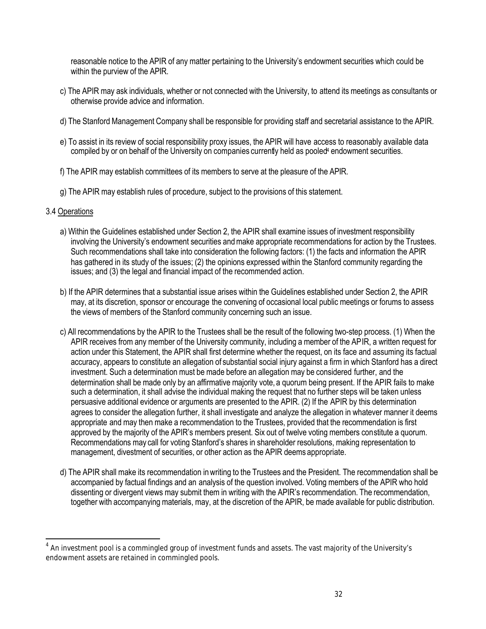reasonable notice to the APIR of any matter pertaining to the University's endowment securities which could be within the purview of the APIR.

- c) The APIR may ask individuals, whether or not connected with the University, to attend its meetings as consultants or otherwise provide advice and information.
- d) The Stanford Management Company shall be responsible for providing staff and secretarial assistance to the APIR.
- e) To assist in its review of social responsibility proxy issues, the APIR will have access to reasonably available data compiled by or on behalf of the University on companies currently held as pooled<sup>4</sup> endowment securities.
- f) The APIR may establish committees of its members to serve at the pleasure of the APIR.
- g) The APIR may establish rules of procedure, subject to the provisions of this statement.

# 3.4 Operations

 $\overline{a}$ 

- a) Within the Guidelines established under Section 2, the APIR shall examine issues of investment responsibility involving the University's endowment securities andmake appropriate recommendations for action by the Trustees. Such recommendations shall take into consideration the following factors: (1) the facts and information the APIR has gathered in its study of the issues; (2) the opinions expressed within the Stanford community regarding the issues; and (3) the legal and financial impact of the recommended action.
- b) If the APIR determines that a substantial issue arises within the Guidelines established under Section 2, the APIR may, at its discretion, sponsor or encourage the convening of occasional local public meetings or forums to assess the views of members of the Stanford community concerning such an issue.
- c) All recommendations by the APIR to the Trustees shall be the result of the following two-step process. (1) When the APIR receives from any member of the University community, including a member of the APIR, a written request for action under this Statement, the APIR shall first determine whether the request, on its face and assuming its factual accuracy, appears to constitute an allegation of substantial social injury against a firm in which Stanford has a direct investment. Such a determination must be made before an allegation may be considered further, and the determination shall be made only by an affirmative majority vote, a quorum being present. If the APIR fails to make such a determination, it shall advise the individual making the request that no further steps will be taken unless persuasive additional evidence or arguments are presented to the APIR. (2) If the APIR by this determination agrees to consider the allegation further, it shall investigate and analyze the allegation in whatever manner it deems appropriate and may then make a recommendation to the Trustees, provided that the recommendation is first approved by the majority of the APIR's members present. Six out of twelve voting members constitute a quorum. Recommendations may call for voting Stanford's shares in shareholder resolutions, making representation to management, divestment of securities, or other action as the APIR deems appropriate.
- d) The APIR shall make its recommendation in writing to the Trustees and the President. The recommendation shall be accompanied by factual findings and an analysis of the question involved. Voting members of the APIR who hold dissenting or divergent views may submit them in writing with the APIR's recommendation. The recommendation, together with accompanying materials, may, at the discretion of the APIR, be made available for public distribution.

 $^4$  An investment pool is a commingled group of investment funds and assets. The vast majority of the University's endowment assets are retained in commingled pools.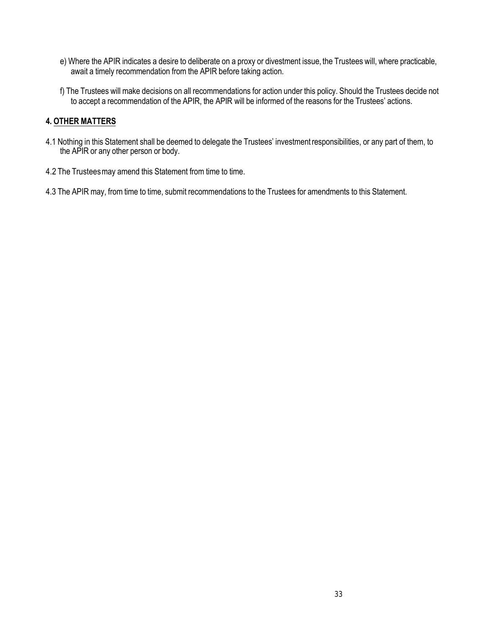- e) Where the APIR indicates a desire to deliberate on a proxy or divestment issue, the Trustees will, where practicable, await a timely recommendation from the APIR before taking action.
- f) The Trustees will make decisions on all recommendations for action under this policy. Should the Trustees decide not to accept a recommendation of the APIR, the APIR will be informed of the reasons for the Trustees' actions.

# **4. OTHER MATTERS**

- 4.1 Nothing in this Statement shall be deemed to delegate the Trustees' investmentresponsibilities, or any part of them, to the APIR or any other person or body.
- 4.2 The Trustees may amend this Statement from time to time.
- 4.3 The APIR may, from time to time, submit recommendations to the Trustees for amendments to this Statement.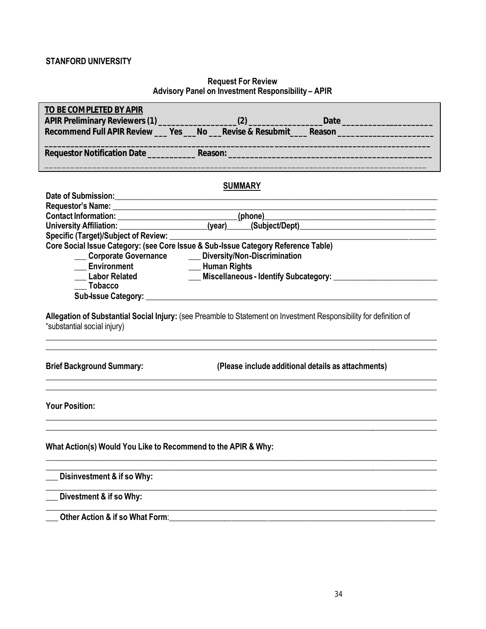# **STANFORD UNIVERSITY**

## **Request For Review Advisory Panel on Investment Responsibility – APIR**

| TO BE COMPLETED BY APIR                                                                                                                                                                                                             |
|-------------------------------------------------------------------------------------------------------------------------------------------------------------------------------------------------------------------------------------|
| Date ________________________                                                                                                                                                                                                       |
| Recommend Full APIR Review ___ Yes ___ No ___ Revise & Resubmit ____ Reason ___________                                                                                                                                             |
| <b>Requestor Notification Date Reason:</b> Reason: Records and Research Control of the Control of the Control of the Control of the Control of the Control of the Control of the Control of the Control of the Control of the Contr |
|                                                                                                                                                                                                                                     |
| <b>SUMMARY</b>                                                                                                                                                                                                                      |
|                                                                                                                                                                                                                                     |
|                                                                                                                                                                                                                                     |
|                                                                                                                                                                                                                                     |
| Specific (Target)/Subject of Review: ___                                                                                                                                                                                            |
| Core Social Issue Category: (see Core Issue & Sub-Issue Category Reference Table)                                                                                                                                                   |
| __ Corporate Governance<br>__ Diversity/Non-Discrimination                                                                                                                                                                          |
| <b>Environment</b><br>- Human Rights                                                                                                                                                                                                |
| <b>Environment</b><br>Labor Related                                                                                                                                                                                                 |
| <b>Tobacco</b>                                                                                                                                                                                                                      |
|                                                                                                                                                                                                                                     |
|                                                                                                                                                                                                                                     |
| Allegation of Substantial Social Injury: (see Preamble to Statement on Investment Responsibility for definition of<br>"substantial social injury)                                                                                   |
| <b>Brief Background Summary:</b><br>(Please include additional details as attachments)                                                                                                                                              |
| <b>Your Position:</b>                                                                                                                                                                                                               |
| What Action(s) Would You Like to Recommend to the APIR & Why:                                                                                                                                                                       |
| Disinvestment & if so Why:                                                                                                                                                                                                          |
| Divestment & if so Why:                                                                                                                                                                                                             |
| Other Action & if so What Form:                                                                                                                                                                                                     |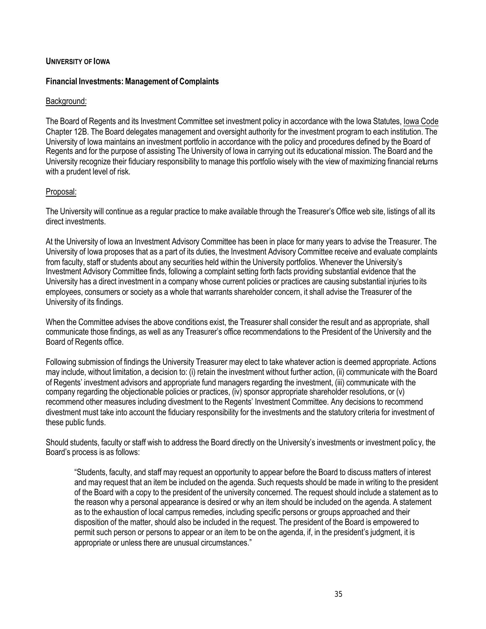# **UNIVERSITY OF IOWA**

# **Financial Investments: Management of Complaints**

# Background:

The Board of Regents and its Investment Committee set investment policy in accordance with the Iowa Statutes, Iowa Code Chapter 12B. The Board delegates management and oversight authority for the investment program to each institution. The University of Iowa maintains an investment portfolio in accordance with the policy and procedures defined by the Board of Regents and for the purpose of assisting The University of Iowa in carrying out its educational mission. The Board and the University recognize their fiduciary responsibility to manage this portfolio wisely with the view of maximizing financial returns with a prudent level of risk.

# Proposal:

The University will continue as a regular practice to make available through the Treasurer's Office web site, listings of all its direct investments.

At the University of Iowa an Investment Advisory Committee has been in place for many years to advise the Treasurer. The University of Iowa proposes that as a part of its duties, the Investment Advisory Committee receive and evaluate complaints from faculty, staff or students about any securities held within the University portfolios. Whenever the University's Investment Advisory Committee finds, following a complaint setting forth facts providing substantial evidence that the University has a direct investment in a company whose current policies or practices are causing substantial injuries to its employees, consumers or society as a whole that warrants shareholder concern, it shall advise the Treasurer of the University of its findings.

When the Committee advises the above conditions exist, the Treasurer shall consider the result and as appropriate, shall communicate those findings, as well as any Treasurer's office recommendations to the President of the University and the Board of Regents office.

Following submission of findings the University Treasurer may elect to take whatever action is deemed appropriate. Actions may include, without limitation, a decision to: (i) retain the investment without further action, (ii) communicate with the Board of Regents' investment advisors and appropriate fund managers regarding the investment, (iii) communicate with the company regarding the objectionable policies or practices, (iv) sponsor appropriate shareholder resolutions, or (v) recommend other measures including divestment to the Regents' Investment Committee. Any decisions to recommend divestment must take into account the fiduciary responsibility for the investments and the statutory criteria for investment of these public funds.

Should students, faculty or staff wish to address the Board directly on the University's investments or investment polic y, the Board's process is as follows:

"Students, faculty, and staff may request an opportunity to appear before the Board to discuss matters of interest and may request that an item be included on the agenda. Such requests should be made in writing to the president of the Board with a copy to the president of the university concerned. The request should include a statement as to the reason why a personal appearance is desired or why an item should be included on the agenda. A statement as to the exhaustion of local campus remedies, including specific persons or groups approached and their disposition of the matter, should also be included in the request. The president of the Board is empowered to permit such person or persons to appear or an item to be on the agenda, if, in the president's judgment, it is appropriate or unless there are unusual circumstances."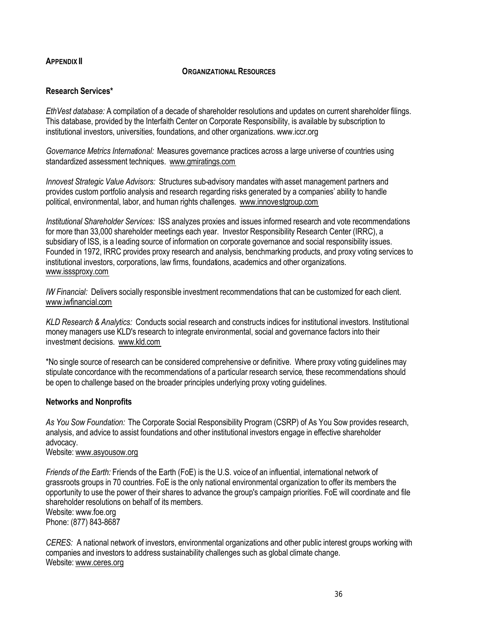# **APPENDIX II**

## **ORGANIZATIONAL RESOURCES**

# **Research Services\***

*EthVest database:* A compilation of a decade of shareholder resolutions and updates on current shareholder filings. This database, provided by the Interfaith Center on Corporate Responsibility, is available by subscription to institutional investors, universities, foundations, and other organizations. www.iccr.org

*Governance Metrics International:* Measures governance practices across a large universe of countries using standardized assessment techniques. www.gmiratings.com

*Innovest Strategic Value Advisors:* Structures sub-advisory mandates with asset management partners and provides custom portfolio analysis and research regarding risks generated by a companies' ability to handle political, environmental, labor, and human rights challenges. www.innovestgroup.com

*Institutional Shareholder Services:* ISS analyzes proxies and issues informed research and vote recommendations for more than 33,000 shareholder meetings each year. Investor Responsibility Research Center (IRRC), a subsidiary of ISS, is a leading source of information on corporate governance and social responsibility issues. Founded in 1972, IRRC provides proxy research and analysis, benchmarking products, and proxy voting services to institutional investors, corporations, law firms, foundations, academics and other organizations. www.isssproxy.com

*IW Financial:* Delivers socially responsible investment recommendations that can be customized for each client. www.iwfinancial.com

*KLD Research & Analytics:* Conducts social research and constructs indices for institutional investors. Institutional money managers use KLD's research to integrate environmental, social and governance factors into their investment decisions. www.kld.com

\*No single source of research can be considered comprehensive or definitive. Where proxy voting guidelines may stipulate concordance with the recommendations of a particular research service, these recommendations should be open to challenge based on the broader principles underlying proxy voting guidelines.

## **Networks and Nonprofits**

*As You Sow Foundation:* The Corporate Social Responsibility Program (CSRP) of As You Sow provides research, analysis, and advice to assist foundations and other institutional investors engage in effective shareholder advocacy.

# Website: www.asyousow.org

*Friends of the Earth:* Friends of the Earth (FoE) is the U.S. voice of an influential, international network of grassroots groups in 70 countries. FoE is the only national environmental organization to offer its members the opportunity to use the power of their shares to advance the group's campaign priorities. FoE will coordinate and file shareholder resolutions on behalf of its members. Website: www.foe.org Phone: (877) 843-8687

*CERES:* A national network of investors, environmental organizations and other public interest groups working with companies and investors to address sustainability challenges such as global climate change. Website: www.ceres.org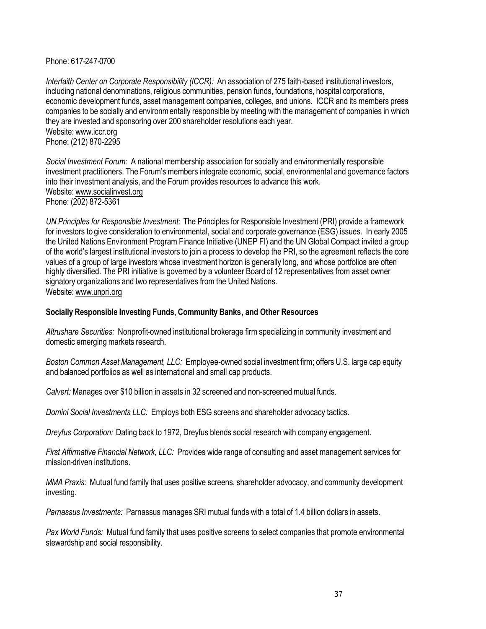Phone: 617-247-0700

*Interfaith Center on Corporate Responsibility (ICCR):* An association of 275 faith-based institutional investors, including national denominations, religious communities, pension funds, foundations, hospital corporations, economic development funds, asset management companies, colleges, and unions. ICCR and its members press companies to be socially and environmentally responsible by meeting with the management of companies in which they are invested and sponsoring over 200 shareholder resolutions each year. Website: www.iccr.org Phone: (212) 870-2295

*Social Investment Forum:* A national membership association for socially and environmentally responsible investment practitioners. The Forum's members integrate economic, social, environmental and governance factors into their investment analysis, and the Forum provides resources to advance this work. Website: www.socialinvest.org Phone: (202) 872-5361

*UN Principles for Responsible Investment:* The Principles for Responsible Investment (PRI) provide a framework for investors to give consideration to environmental, social and corporate governance (ESG) issues. In early 2005 the United Nations Environment Program Finance Initiative (UNEP FI) and the UN Global Compact invited a group of the world's largest institutional investors to join a process to develop the PRI, so the agreement reflects the core values of a group of large investors whose investment horizon is generally long, and whose portfolios are often highly diversified. The PRI initiative is governed by a volunteer Board of 12 representatives from asset owner signatory organizations and two representatives from the United Nations. Website: www.unpri.org

## **Socially Responsible Investing Funds, Community Banks, and Other Resources**

*Altrushare Securities:* Nonprofit-owned institutional brokerage firm specializing in community investment and domestic emerging markets research.

*Boston Common Asset Management, LLC:* Employee-owned social investment firm; offers U.S. large cap equity and balanced portfolios as well as international and small cap products.

*Calvert:* Manages over \$10 billion in assets in 32 screened and non-screened mutual funds.

*Domini Social Investments LLC:* Employs both ESG screens and shareholder advocacy tactics.

*Dreyfus Corporation:* Dating back to 1972, Dreyfus blends social research with company engagement.

*First Affirmative Financial Network, LLC:* Provides wide range of consulting and asset management services for mission-driven institutions.

*MMA Praxis:* Mutual fund family that uses positive screens, shareholder advocacy, and community development investing.

*Parnassus Investments:* Parnassus manages SRI mutual funds with a total of 1.4 billion dollars in assets.

*Pax World Funds:* Mutual fund family that uses positive screens to select companies that promote environmental stewardship and social responsibility.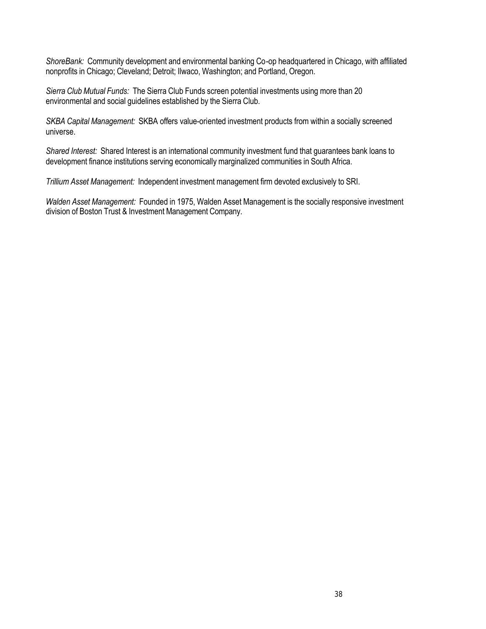*ShoreBank:* Community development and environmental banking Co-op headquartered in Chicago, with affiliated nonprofits in Chicago; Cleveland; Detroit; Ilwaco, Washington; and Portland, Oregon.

*Sierra Club Mutual Funds:* The Sierra Club Funds screen potential investments using more than 20 environmental and social guidelines established by the Sierra Club.

*SKBA Capital Management:* SKBA offers value-oriented investment products from within a socially screened universe.

*Shared Interest:* Shared Interest is an international community investment fund that guarantees bank loans to development finance institutions serving economically marginalized communities in South Africa.

*Trillium Asset Management:* Independent investment management firm devoted exclusively to SRI.

*Walden Asset Management:* Founded in 1975, Walden Asset Management is the socially responsive investment division of Boston Trust & Investment Management Company.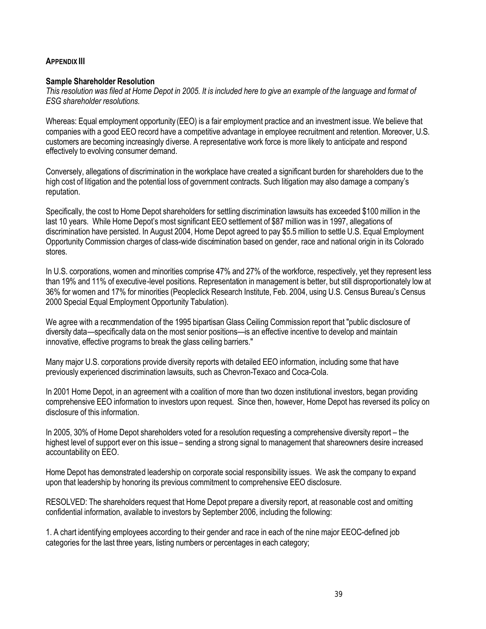# **APPENDIX III**

## **Sample Shareholder Resolution**

*This resolution was filed at Home Depot in 2005. It is included here to give an example of the language and format of ESG shareholder resolutions.* 

Whereas: Equal employment opportunity (EEO) is a fair employment practice and an investment issue. We believe that companies with a good EEO record have a competitive advantage in employee recruitment and retention. Moreover, U.S. customers are becoming increasingly diverse. A representative work force is more likely to anticipate and respond effectively to evolving consumer demand.

Conversely, allegations of discrimination in the workplace have created a significant burden for shareholders due to the high cost of litigation and the potential loss of government contracts. Such litigation may also damage a company's reputation.

Specifically, the cost to Home Depot shareholders for settling discrimination lawsuits has exceeded \$100 million in the last 10 years. While Home Depot's most significant EEO settlement of \$87 million was in 1997, allegations of discrimination have persisted. In August 2004, Home Depot agreed to pay \$5.5 million to settle U.S. Equal Employment Opportunity Commission charges of class-wide discrimination based on gender, race and national origin in its Colorado stores.

In U.S. corporations, women and minorities comprise 47% and 27% of the workforce, respectively, yet they represent less than 19% and 11% of executive-level positions. Representation in management is better, but still disproportionately low at 36% for women and 17% for minorities (Peopleclick Research Institute, Feb. 2004, using U.S. Census Bureau's Census 2000 Special Equal Employment Opportunity Tabulation).

We agree with a recommendation of the 1995 bipartisan Glass Ceiling Commission report that "public disclosure of diversity data—specifically data on the most senior positions—is an effective incentive to develop and maintain innovative, effective programs to break the glass ceiling barriers."

Many major U.S. corporations provide diversity reports with detailed EEO information, including some that have previously experienced discrimination lawsuits, such as Chevron-Texaco and Coca-Cola.

In 2001 Home Depot, in an agreement with a coalition of more than two dozen institutional investors, began providing comprehensive EEO information to investors upon request. Since then, however, Home Depot has reversed its policy on disclosure of this information.

In 2005, 30% of Home Depot shareholders voted for a resolution requesting a comprehensive diversity report – the highest level of support ever on this issue – sending a strong signal to management that shareowners desire increased accountability on EEO.

Home Depot has demonstrated leadership on corporate social responsibility issues. We ask the company to expand upon that leadership by honoring its previous commitment to comprehensive EEO disclosure.

RESOLVED: The shareholders request that Home Depot prepare a diversity report, at reasonable cost and omitting confidential information, available to investors by September 2006, including the following:

1. A chart identifying employees according to their gender and race in each of the nine major EEOC-defined job categories for the last three years, listing numbers or percentages in each category;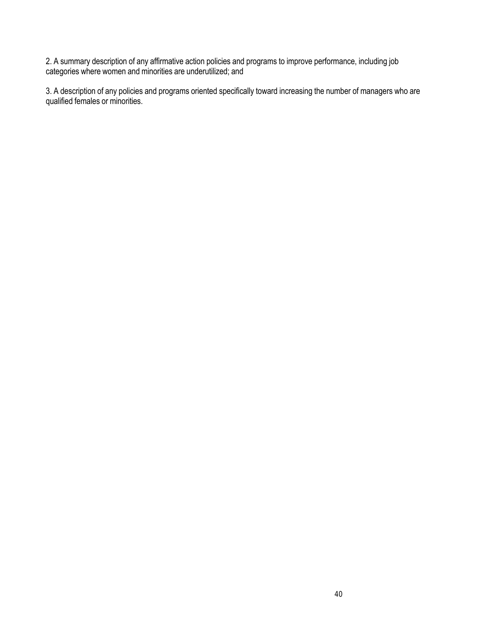2. A summary description of any affirmative action policies and programs to improve performance, including job categories where women and minorities are underutilized; and

3. A description of any policies and programs oriented specifically toward increasing the number of managers who are qualified females or minorities.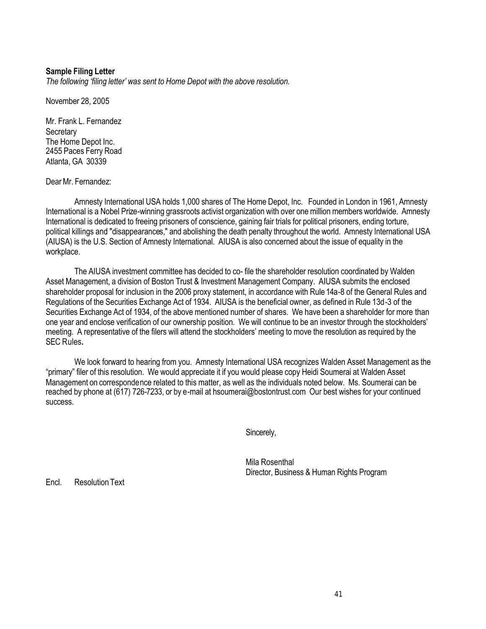## **Sample Filing Letter**

*The following 'filing letter' was sent to Home Depot with the above resolution.* 

November 28, 2005

Mr. Frank L. Fernandez **Secretary** The Home Depot Inc. 2455 Paces Ferry Road Atlanta, GA 30339

Dear Mr. Fernandez:

Amnesty International USA holds 1,000 shares of The Home Depot, Inc. Founded in London in 1961, Amnesty International is a Nobel Prize-winning grassroots activist organization with over one million members worldwide. Amnesty International is dedicated to freeing prisoners of conscience, gaining fair trials for political prisoners, ending torture, political killings and "disappearances," and abolishing the death penalty throughout the world. Amnesty International USA (AIUSA) is the U.S. Section of Amnesty International. AIUSA is also concerned about the issue of equality in the workplace.

The AIUSA investment committee has decided to co- file the shareholder resolution coordinated by Walden Asset Management, a division of Boston Trust & Investment Management Company. AIUSA submits the enclosed shareholder proposal for inclusion in the 2006 proxy statement, in accordance with Rule 14a-8 of the General Rules and Regulations of the Securities Exchange Act of 1934. AIUSA is the beneficial owner, as defined in Rule 13d-3 of the Securities Exchange Act of 1934, of the above mentioned number of shares. We have been a shareholder for more than one year and enclose verification of our ownership position. We will continue to be an investor through the stockholders' meeting. A representative of the filers will attend the stockholders' meeting to move the resolution as required by the SEC Rules**.** 

We look forward to hearing from you. Amnesty International USA recognizes Walden Asset Management as the "primary" filer of this resolution. We would appreciate it if you would please copy Heidi Soumerai at Walden Asset Management on correspondence related to this matter, as well as the individuals noted below. Ms. Soumerai can be reached by phone at (617) 726-7233, or by e-mail at hsoumerai@bostontrust.com Our best wishes for your continued success.

Sincerely,

Mila Rosenthal Director, Business & Human Rights Program

Encl. Resolution Text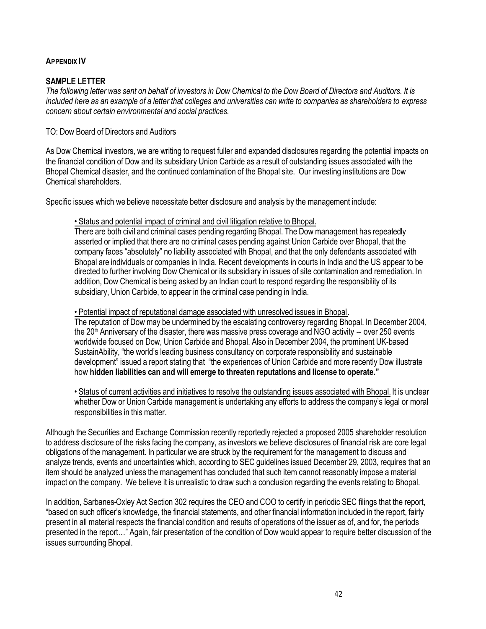# **APPENDIX IV**

# **SAMPLE LETTER**

*The following letter was sent on behalf of investors in Dow Chemical to the Dow Board of Directors and Auditors. It is*  included here as an example of a letter that colleges and universities can write to companies as shareholders to express *concern about certain environmental and social practices.*

TO: Dow Board of Directors and Auditors

As Dow Chemical investors, we are writing to request fuller and expanded disclosures regarding the potential impacts on the financial condition of Dow and its subsidiary Union Carbide as a result of outstanding issues associated with the Bhopal Chemical disaster, and the continued contamination of the Bhopal site. Our investing institutions are Dow Chemical shareholders.

Specific issues which we believe necessitate better disclosure and analysis by the management include:

• Status and potential impact of criminal and civil litigation relative to Bhopal.

There are both civil and criminal cases pending regarding Bhopal. The Dow management has repeatedly asserted or implied that there are no criminal cases pending against Union Carbide over Bhopal, that the company faces "absolutely" no liability associated with Bhopal, and that the only defendants associated with Bhopal are individuals or companies in India. Recent developments in courts in India and the US appear to be directed to further involving Dow Chemical or its subsidiary in issues of site contamination and remediation. In addition, Dow Chemical is being asked by an Indian court to respond regarding the responsibility of its subsidiary, Union Carbide, to appear in the criminal case pending in India.

• Potential impact of reputational damage associated with unresolved issues in Bhopal.

The reputation of Dow may be undermined by the escalating controversy regarding Bhopal. In December 2004, the 20<sup>th</sup> Anniversary of the disaster, there was massive press coverage and NGO activity -- over 250 events worldwide focused on Dow, Union Carbide and Bhopal. Also in December 2004, the prominent UK-based SustainAbility, "the world's leading business consultancy on corporate responsibility and sustainable development" issued a report stating that "the experiences of Union Carbide and more recently Dow illustrate how **hidden liabilities can and will emerge to threaten reputations and license to operate."**

• Status of current activities and initiatives to resolve the outstanding issues associated with Bhopal. It is unclear whether Dow or Union Carbide management is undertaking any efforts to address the company's legal or moral responsibilities in this matter.

Although the Securities and Exchange Commission recently reportedly rejected a proposed 2005 shareholder resolution to address disclosure of the risks facing the company, as investors we believe disclosures of financial risk are core legal obligations of the management. In particular we are struck by the requirement for the management to discuss and analyze trends, events and uncertainties which, according to SEC guidelines issued December 29, 2003, requires that an item should be analyzed unless the management has concluded that such item cannot reasonably impose a material impact on the company. We believe it is unrealistic to draw such a conclusion regarding the events relating to Bhopal.

In addition, Sarbanes-Oxley Act Section 302 requires the CEO and COO to certify in periodic SEC filings that the report, "based on such officer's knowledge, the financial statements, and other financial information included in the report, fairly present in all material respects the financial condition and results of operations of the issuer as of, and for, the periods presented in the report…" Again, fair presentation of the condition of Dow would appear to require better discussion of the issues surrounding Bhopal.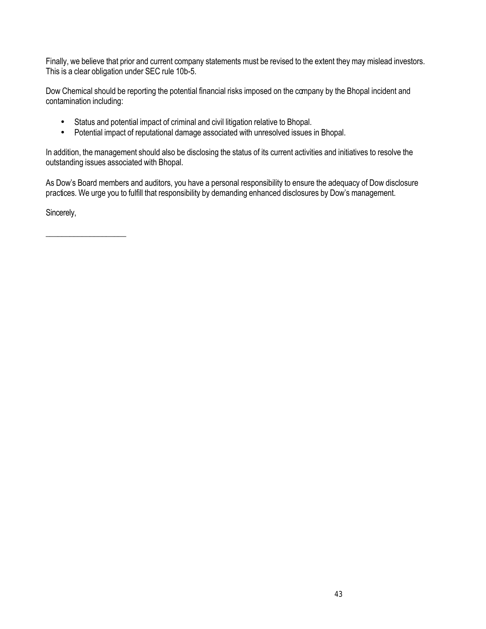Finally, we believe that prior and current company statements must be revised to the extent they may mislead investors. This is a clear obligation under SEC rule 10b-5.

Dow Chemical should be reporting the potential financial risks imposed on the company by the Bhopal incident and contamination including:

- Status and potential impact of criminal and civil litigation relative to Bhopal.
- Potential impact of reputational damage associated with unresolved issues in Bhopal.

In addition, the management should also be disclosing the status of its current activities and initiatives to resolve the outstanding issues associated with Bhopal.

As Dow's Board members and auditors, you have a personal responsibility to ensure the adequacy of Dow disclosure practices. We urge you to fulfill that responsibility by demanding enhanced disclosures by Dow's management.

Sincerely,

 $\_$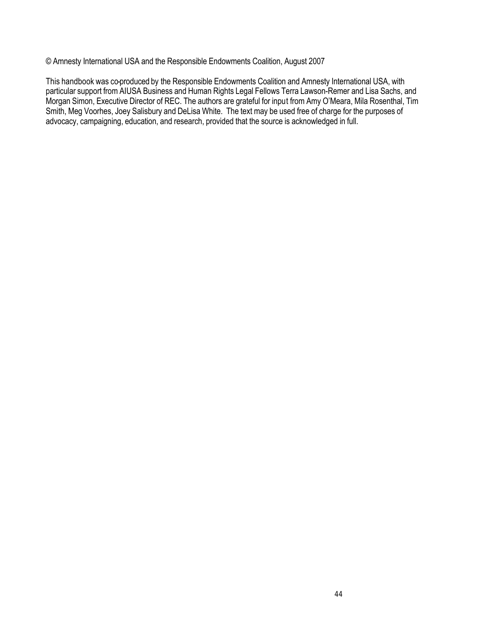© Amnesty International USA and the Responsible Endowments Coalition, August 2007

This handbook was co-produced by the Responsible Endowments Coalition and Amnesty International USA, with particular support from AIUSA Business and Human Rights Legal Fellows Terra Lawson-Remer and Lisa Sachs, and Morgan Simon, Executive Director of REC. The authors are grateful for input from Amy O'Meara, Mila Rosenthal, Tim Smith, Meg Voorhes, Joey Salisbury and DeLisa White. The text may be used free of charge for the purposes of advocacy, campaigning, education, and research, provided that the source is acknowledged in full.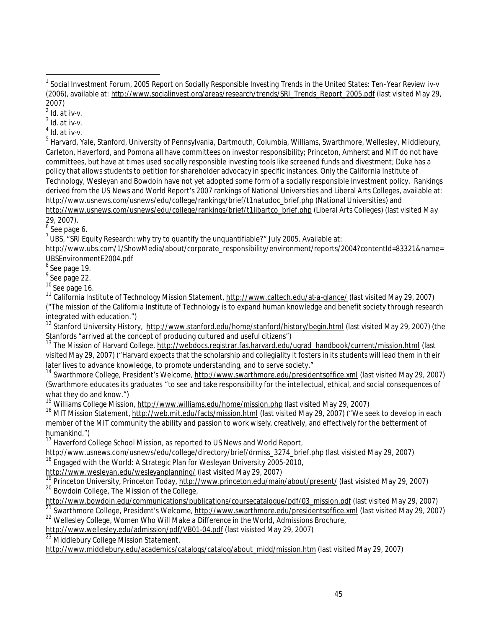$\overline{a}$ 

3 *Id.* at iv-v.

4 *Id.* at iv-v.

<sup>5</sup> Harvard, Yale, Stanford, University of Pennsylvania, Dartmouth, Columbia, Williams, Swarthmore, Wellesley, Middlebury, Carleton, Haverford, and Pomona all have committees on investor responsibility; Princeton, Amherst and MIT do not have committees, but have at times used socially responsible investing tools like screened funds and divestment; Duke has a policy that allows students to petition for shareholder advocacy in specific instances. Only the California Institute of Technology, Wesleyan and Bowdoin have not yet adopted some form of a socially responsible investment policy. Rankings derived from the US News and World Report's 2007 rankings of National Universities and Liberal Arts Colleges, available at: http://www.usnews.com/usnews/edu/college/rankings/brief/t1natudoc\_brief.php (National Universities) and http://www.usnews.com/usnews/edu/college/rankings/brief/t1libartco\_brief.php (Liberal Arts Colleges) (last visited May

29, 2007).

 $6$  See page 6.

 $^7$ UBS, "SRI Equity Research: why try to quantify the unquantifiable?" July 2005. Available at:

http://www.ubs.com/1/ShowMedia/about/corporate\_responsibility/environment/reports/2004?contentId=83321&name= UBSEnvironmentE2004.pdf

<sup>8</sup> See page 19.

<sup>9</sup> See page 22.

 $10$  See page 16.

<sup>11</sup> California Institute of Technology Mission Statement, http://www.caltech.edu/at-a-glance/ (last visited May 29, 2007) ("The mission of the California Institute of Technology is to expand human knowledge and benefit society through research integrated with education.")

<sup>12</sup> Stanford University History, http://www.stanford.edu/home/stanford/history/begin.html (last visited May 29, 2007) (the Stanfords "arrived at the concept of producing cultured and useful citizens")

<sup>13</sup> The Mission of Harvard College, http://webdocs.registrar.fas.harvard.edu/ugrad\_handbook/current/mission.html (last visited May 29, 2007) ("Harvard expects that the scholarship and collegiality it fosters in its students will lead them in their later lives to advance knowledge, to promote understanding, and to serve society."

<sup>14</sup> Swarthmore College, President's Welcome, http://www.swarthmore.edu/presidentsoffice.xml (last visited May 29, 2007) (Swarthmore educates its graduates "to see and take responsibility for the intellectual, ethical, and social consequences of what they do and know.")

<sup>15</sup> Williams College Mission, http://www.williams.edu/home/mission.php (last visited May 29, 2007)

<sup>16</sup> MIT Mission Statement, http://web.mit.edu/facts/mission.html (last visited May 29, 2007) ("We seek to develop in each member of the MIT community the ability and passion to work wisely, creatively, and effectively for the betterment of humankind.")

<sup>17</sup> Haverford College School Mission, as reported to US News and World Report,

http://www.usnews.com/usnews/edu/college/directory/brief/drmiss\_3274\_brief.php (last visisted May 29, 2007)

 $18$  Engaged with the World: A Strategic Plan for Wesleyan University 2005-2010,

http://www.wesleyan.edu/wesleyanplanning/ (last visited May 29, 2007)

Princeton University, Princeton Today, http://www.princeton.edu/main/about/present/ (last visisted May 29, 2007) <sup>20</sup> Bowdoin College, The Mission of the College,

http://www.bowdoin.edu/communications/publications/coursecatalogue/pdf/03\_mission.pdf (last visited May 29, 2007)

<sup>21</sup> Swarthmore College, President's Welcome, http://www.swarthmore.edu/presidentsoffice.xml (last visited May 29, 2007)

<sup>22</sup> Wellesley College, *Women Who Will Make a Difference in the World*, Admissions Brochure,

http://www.wellesley.edu/admission/pdf/VB01-04.pdf (last visisted May 29, 2007)

<sup>23</sup> Middlebury College Mission Statement,

http://www.middlebury.edu/academics/catalogs/catalog/about\_midd/mission.htm (last visited May 29, 2007)

<sup>1</sup> Social Investment Forum, *2005 Report on Socially Responsible Investing Trends in the United States: Ten-Year Review* iv-v (2006), available at: http://www.socialinvest.org/areas/research/trends/SRI\_Trends\_Report\_2005.pdf (last visited May 29, 2007)

<sup>2</sup> *Id.* at iv-v.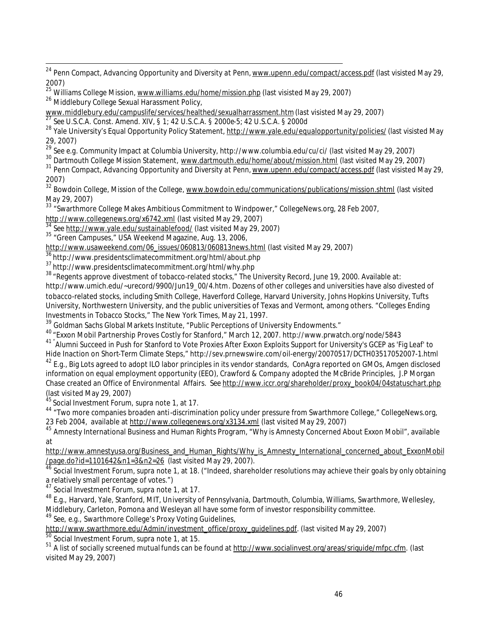<sup>24</sup> Penn Compact, *Advancing Opportunity and Diversity at Penn,* <u>www.upenn.edu/compact/access.pdf</u> (last visisted May 29, 2007)

<sup>25</sup> Williams College Mission, www.williams.edu/home/mission.php (last visisted May 29, 2007)

26 Middlebury College Sexual Harassment Policy,

 $\overline{a}$ 

www.middlebury.edu/campuslife/services/healthed/sexualharrassment.htm (last visisted May 29, 2007)

<sup>27</sup> *See* U.S.C.A. Const. Amend. XIV, § 1; 42 U.S.C.A. § 2000e-5; 42 U.S.C.A. § 2000d

<sup>28</sup> Yale University's Equal Opportunity Policy Statement, http://www.yale.edu/equalopportunity/policies/(last visisted May 29, 2007)

<sup>29</sup> *See e.g.* Community Impact at Columbia University, http://www.columbia.edu/cu/ci/ (last visited May 29, 2007)

<sup>30</sup> Dartmouth College Mission Statement, www.dartmouth.edu/home/about/mission.html (last visited May 29, 2007)

<sup>31</sup> Penn Compact, Advancing Opportunity and Diversity at Penn, www.upenn.edu/compact/access.pdf (last visisted May 29, 2007)

<sup>32</sup> Bowdoin College, Mission of the College, www.bowdoin.edu/communications/publications/mission.shtml (last visited May 29, 2007)

<sup>33</sup> "Swarthmore College Makes Ambitious Commitment to Windpower," CollegeNews.org, 28 Feb 2007,

http://www.collegenews.org/x6742.xml (last visited May 29, 2007)

<sup>34</sup> *See* http://www.yale.edu/sustainablefood/ (last visited May 29, 2007)

<sup>35</sup> "Green Campuses," USA Weekend Magazine, Aug. 13, 2006,

http://www.usaweekend.com/06\_issues/060813/060813news.html (last visited May 29, 2007)

<sup>36</sup> http://www.presidentsclimatecommitment.org/html/about.php

<sup>37</sup> http://www.presidentsclimatecommitment.org/html/why.php

38 "Regents approve divestment of tobacco-related stocks," The University Record, June 19, 2000. Available at: http://www.umich.edu/~urecord/9900/Jun19\_00/4.htm. Dozens of other colleges and universities have also divested of tobacco-related stocks, including Smith College, Haverford College, Harvard University, Johns Hopkins University, Tufts University, Northwestern University, and the public universities of Texas and Vermont, among others. "Colleges Ending Investments in Tobacco Stocks," The New York Times, May 21, 1997.

<sup>39</sup> Goldman Sachs Global Markets Institute, "Public Perceptions of University Endowments."

<sup>40</sup> "Exxon Mobil Partnership Proves Costly for Stanford," March 12, 2007. http://www.prwatch.org/node/5843

<sup>41</sup> "Alumni Succeed in Push for Stanford to Vote Proxies After Exxon Exploits Support for University's GCEP as 'Fig Leaf' to Hide Inaction on Short-Term Climate Steps," http://sev.prnewswire.com/oil-energy/20070517/DCTH03517052007-1.html

 $^{42}$  E.g., Big Lots agreed to adopt ILO labor principles in its vendor standards, ConAgra reported on GMOs, Amgen disclosed information on equal employment opportunity (EEO), Crawford & Company adopted the McBride Principles, J.P Morgan Chase created an Office of Environmental Affairs. *See* http://www.iccr.org/shareholder/proxy\_book04/04statuschart.php (last visited May 29, 2007)

<sup>45</sup>Social Investment Forum, *supra* note 1, at 17.

44 "Two more companies broaden anti-discrimination policy under pressure from Swarthmore College," CollegeNews.org, 23 Feb 2004, available at http://www.collegenews.org/x3134.xml (last visited May 29, 2007)

<sup>45</sup> Amnesty International Business and Human Rights Program, "Why is Amnesty Concerned About Exxon Mobil", available at

http://www.amnestyusa.org/Business\_and\_Human\_Rights/Why\_is\_Amnesty\_International\_concerned\_about\_ExxonMobil /page.do?id=1101642&n1=3&n2=26 (last visited May 29, 2007).

<sup>46</sup> Social Investment Forum, *supra* note 1, at 18. ("Indeed, shareholder resolutions may achieve their goals by only obtaining a relatively small percentage of votes.")

<sup>47</sup> Social Investment Forum, *supra* note 1, at 17.

<sup>48</sup> *E.g.,* Harvard, Yale, Stanford, MIT, University of Pennsylvania, Dartmouth, Columbia, Williams, Swarthmore, Wellesley, Middlebury, Carleton, Pomona and Wesleyan all have some form of investor responsibility committee.

<sup>49</sup> *See, e.g.,* Swarthmore College's Proxy Voting Guidelines,

http://www.swarthmore.edu/Admin/investment\_office/proxy\_guidelines.pdf. (last visited May 29, 2007)

<sup>50</sup> Social Investment Forum, *supra* note 1, at 15.

<sup>51</sup> A list of socially screened mutual funds can be found at http://www.socialinvest.org/areas/sriguide/mfpc.cfm. (last visited May 29, 2007)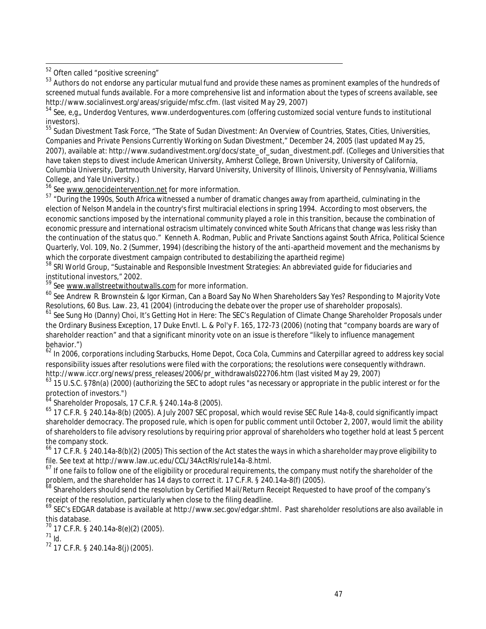<sup>52</sup> Often called "positive screening"

 $\overline{a}$ 

<sup>53</sup> Authors do not endorse any particular mutual fund and provide these names as prominent examples of the hundreds of screened mutual funds available. For a more comprehensive list and information about the types of screens available, see http://www.socialinvest.org/areas/sriguide/mfsc.cfm. (last visited May 29, 2007)

<sup>54</sup> *See*, *e,g,*, Underdog Ventures, www.underdogventures.com (offering customized social venture funds to institutional investors).

 $^{55}$  Sudan Divestment Task Force, "The State of Sudan Divestment: An Overview of Countries, States, Cities, Universities, Companies and Private Pensions Currently Working on Sudan Divestment," December 24, 2005 (last updated May 25, 2007), available at: http://www.sudandivestment.org/docs/state\_of\_sudan\_divestment.pdf. (Colleges and Universities that have taken steps to divest include American University, Amherst College, Brown University, University of California, Columbia University, Dartmouth University, Harvard University, University of Illinois, University of Pennsylvania, Williams College, and Yale University.)

<sup>56</sup> See www.genocideintervention.net for more information.

<sup>57</sup> "During the 1990s, South Africa witnessed a number of dramatic changes away from apartheid, culminating in the election of Nelson Mandela in the country's first multiracial elections in spring 1994. According to most observers, the economic sanctions imposed by the international community played a role in this transition, because the combination of economic pressure and international ostracism ultimately convinced white South Africans that change was less risky than the continuation of the status quo." Kenneth A. Rodman, Public and Private Sanctions against South Africa, Political Science Quarterly, Vol. 109, No. 2 (Summer, 1994) (describing the history of the anti-apartheid movement and the mechanisms by which the corporate divestment campaign contributed to destabilizing the apartheid regime)

<sup>58</sup> SRI World Group, "Sustainable and Responsible Investment Strategies: An abbreviated guide for fiduciaries and institutional investors," 2002.

<sup>59</sup> See www.wallstreetwithoutwalls.com for more information.

<sup>60</sup> *See* Andrew R. Brownstein & Igor Kirman, Can a Board Say No When Shareholders Say Yes? Responding to Majority Vote Resolutions, 60 Bus. Law. 23, 41 (2004) (introducing the debate over the proper use of shareholder proposals).

<sup>61</sup> *See* Sung Ho (Danny) Choi, It's Getting Hot in Here: The SEC's Regulation of Climate Change Shareholder Proposals under the Ordinary Business Exception, 17 Duke Envtl. L. & Pol'y F. 165, 172-73 (2006) (noting that "company boards are wary of shareholder reaction" and that a significant minority vote on an issue is therefore "likely to influence management behavior.")

<sup>62</sup> In 2006, corporations including Starbucks, Home Depot, Coca Cola, Cummins and Caterpillar agreed to address key social responsibility issues after resolutions were filed with the corporations; the resolutions were consequently withdrawn. http://www.iccr.org/news/press\_releases/2006/pr\_withdrawals022706.htm (last visited May 29, 2007)

<sup>63</sup> 15 U.S.C. §78n(a) (2000) (authorizing the SEC to adopt rules "as necessary or appropriate in the public interest or for the  $\frac{1}{2}$  protection of investors.")

<sup>64</sup> Shareholder Proposals, 17 C.F.R. § 240.14a-8 (2005).

<sup>65</sup> 17 C.F.R. § 240.14a-8(b) (2005). A July 2007 SEC proposal, which would revise SEC Rule 14a-8, could significantly impact shareholder democracy. The proposed rule, which is open for public comment until October 2, 2007, would limit the ability of shareholders to file advisory resolutions by requiring prior approval of shareholders who together hold at least 5 percent the company stock.

<sup>66</sup> 17 C.F.R. § 240.14a-8(b)(2) (2005) This section of the Act states the ways in which a shareholder may prove eligibility to file. See text at http://www.law.uc.edu/CCL/34ActRls/rule14a-8.html.

 $67$  If one fails to follow one of the eligibility or procedural requirements, the company must notify the shareholder of the problem, and the shareholder has 14 days to correct it. 17 C.F.R. § 240.14a-8(f) (2005).

<sup>68</sup> Shareholders should send the resolution by Certified Mail/Return Receipt Requested to have proof of the company's receipt of the resolution, particularly when close to the filing deadline.

<sup>69</sup> SEC's EDGAR database is available at http://www.sec.gov/edgar.shtml. Past shareholder resolutions are also available in this database.

 $^{70}$  17 C.F.R. § 240.14a-8(e)(2) (2005).

<sup>71</sup> *Id*.

<sup>72</sup> 17 C.F.R. § 240.14a-8(j) (2005).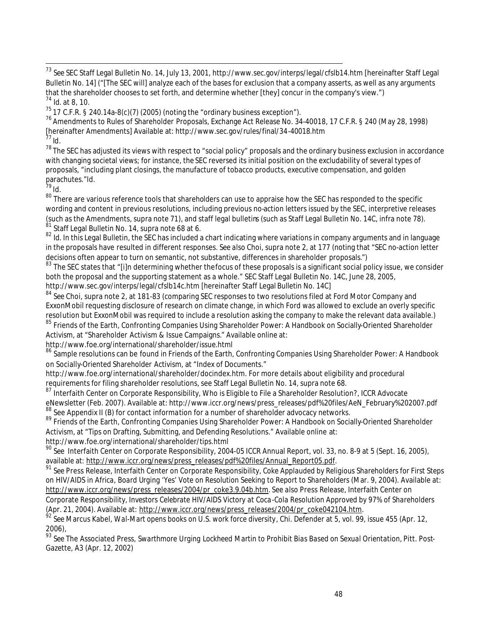<sup>73</sup> *See* SEC Staff Legal Bulletin No. 14, July 13, 2001, http://www.sec.gov/interps/legal/cfslb14.htm [hereinafter Staff Legal Bulletin No. 14] ("[The SEC will] analyze each of the bases for exclusion that a company asserts, as well as any arguments that the shareholder chooses to set forth, and determine whether [they] concur in the company's view.") <sup>74</sup> *Id.* at 8, 10.

<sup>75</sup> 17 C.F.R. § 240.14a-8(c)(7) (2005) (noting the "ordinary business exception").

<sup>76</sup> Amendments to Rules of Shareholder Proposals, Exchange Act Release No. 34-40018, 17 C.F.R. § 240 (May 28, 1998) [hereinafter Amendments] Available at: http://www.sec.gov/rules/final/34-40018.htm <sup>77</sup> *Id*.

 $78$  The SEC has adjusted its views with respect to "social policy" proposals and the ordinary business exclusion in accordance with changing societal views; for instance, the SEC reversed its initial position on the excludability of several types of proposals, "including plant closings, the manufacture of tobacco products, executive compensation, and golden parachutes."*Id.*

 $1^{79}$  *Id.* 

 $\overline{a}$ 

80 There are various reference tools that shareholders can use to appraise how the SEC has responded to the specific wording and content in previous resolutions, including previous no-action letters issued by the SEC, interpretive releases (such as the Amendments, supra note 71), and staff legal bulletins (such as Staff Legal Bulletin No. 14C, infra note 78). Staff Legal Bulletin No. 14, supra note 68 at 6.

82 *Id.* In this Legal Bulletin, the SEC has included a chart indicating where variations in company arguments and in language in the proposals have resulted in different responses. *See also* Choi, supra note 2, at 177 (noting that "SEC no-action letter decisions often appear to turn on semantic, not substantive, differences in shareholder proposals.")

83 The SEC states that "[i]n determining whether thefocus of these proposals is a significant social policy issue, we consider both the proposal and the supporting statement as a whole." SEC Staff Legal Bulletin No. 14C, June 28, 2005, http://www.sec.gov/interps/legal/cfslb14c.htm [hereinafter Staff Legal Bulletin No. 14C]

<sup>84</sup> *See* Choi, supra note 2, at 181-83 (comparing SEC responses to two resolutions filed at Ford Motor Company and ExxonMobil requesting disclosure of research on climate change, in which Ford was allowed to exclude an overly specific resolution but ExxonMobil was required to include a resolution asking the company to make the relevant data available.) <sup>85</sup> Friends of the Earth, Confronting Companies Using Shareholder Power: A Handbook on Socially-Oriented Shareholder Activism, at "Shareholder Activism & Issue Campaigns." Available online at:

http://www.foe.org/international/shareholder/issue.html

<sup>86</sup> Sample resolutions can be found in Friends of the Earth, Confronting Companies Using Shareholder Power: A Handbook on Socially-Oriented Shareholder Activism, at "Index of Documents."

http://www.foe.org/international/shareholder/docindex.htm. For more details about eligibility and procedural requirements for filing shareholder resolutions, see Staff Legal Bulletin No. 14, supra note 68.

<sup>87</sup> Interfaith Center on Corporate Responsibility, Who is Eligible to File a Shareholder Resolution?, ICCR Advocate eNewsletter (Feb. 2007). Available at: http://www.iccr.org/news/press\_releases/pdf%20files/AeN\_February%202007.pdf <sup>88</sup> See Appendix II (B) for contact information for a number of shareholder advocacy networks.

89 Friends of the Earth, Confronting Companies Using Shareholder Power: A Handbook on Socially-Oriented Shareholder Activism, at "Tips on Drafting, Submitting, and Defending Resolutions." Available online at: http://www.foe.org/international/shareholder/tips.html

<sup>90</sup> *See* Interfaith Center on Corporate Responsibility, 2004-05 ICCR Annual Report, vol. 33, no. 8-9 at 5 (Sept. 16, 2005), available at: http://www.iccr.org/news/press\_releases/pdf%20files/Annual\_Report05.pdf.

<sup>91</sup> *See* Press Release, Interfaith Center on Corporate Responsibility, *Coke Applauded by Religious Shareholders for First Steps on HIV/AIDS in Africa, Board Urging 'Yes' Vote on Resolution Seeking to Report to Shareholders* (Mar. 9, 2004). Available at: http://www.iccr.org/news/press\_releases/2004/pr\_coke3.9.04b.htm. *See also* Press Release, Interfaith Center on Corporate Responsibility, *Investors Celebrate HIV/AIDS Victory at Coca-Cola Resolution Approved by 97% of Shareholders*

(Apr. 21, 2004). Available at: http://www.iccr.org/news/press\_releases/2004/pr\_coke042104.htm. <sup>92</sup> *See* Marcus Kabel, *Wal-Mart opens books on U.S. work force diversity*, Chi. Defender at 5, vol. 99, issue 455 (Apr. 12, 2006),

<sup>93</sup> *See* The Associated Press, *Swarthmore Urging Lockheed Martin to Prohibit Bias Based on Sexual Orientation*, Pitt. Post-Gazette, A3 (Apr. 12, 2002)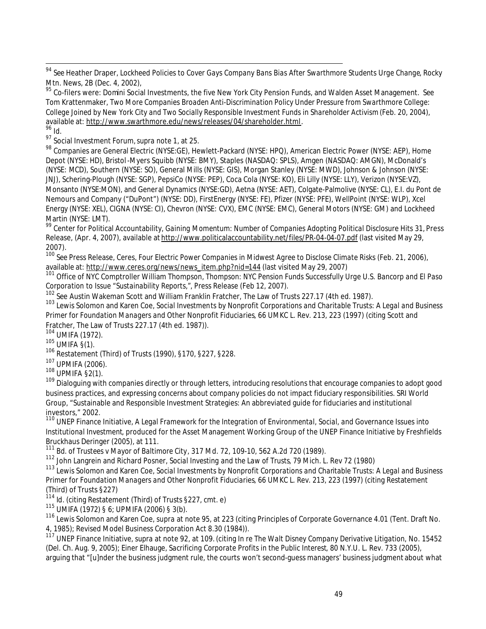<sup>94</sup> *See* Heather Draper, *Lockheed Policies to Cover Gays Company Bans Bias After Swarthmore Students Urge Change*, Rocky Mtn. News, 2B (Dec. 4, 2002),

<sup>95</sup> Co-filers were: Domini Social Investments, the five New York City Pension Funds, and Walden Asset Management. *See*  Tom Krattenmaker, *Two More Companies Broaden Anti-Discrimination Policy Under Pressure from Swarthmore College: College Joined by New York City and Two Socially Responsible Investment Funds in Shareholder Activism* (Feb. 20, 2004), available at: http://www.swarthmore.edu/news/releases/04/shareholder.html.  $\frac{6}{96}$  *Id.* 

<sup>97</sup> Social Investment Forum,*supra* note 1, at 25.

<sup>98</sup> Companies are General Electric (NYSE:GE), Hewlett-Packard (NYSE: HPQ), American Electric Power (NYSE: AEP), Home Depot (NYSE: HD), Bristol -Myers Squibb (NYSE: BMY), Staples (NASDAQ: SPLS), Amgen (NASDAQ: AMGN), McDonald's (NYSE: MCD), Southern (NYSE: SO), General Mills (NYSE: GIS), Morgan Stanley (NYSE: MWD), Johnson & Johnson (NYSE: JNJ), Schering-Plough (NYSE: SGP), PepsiCo (NYSE: PEP), Coca Cola (NYSE: KO), Eli Lilly (NYSE: LLY), Verizon (NYSE:VZ), Monsanto (NYSE:MON), and General Dynamics (NYSE:GD), Aetna (NYSE: AET), Colgate-Palmolive (NYSE: CL), E.I. du Pont de Nemours and Company ("DuPont") (NYSE: DD), FirstEnergy (NYSE: FE), Pfizer (NYSE: PFE), WellPoint (NYSE: WLP), Xcel Energy (NYSE: XEL), CIGNA (NYSE: CI), Chevron (NYSE: CVX), EMC (NYSE: EMC), General Motors (NYSE: GM) and Lockheed Martin (NYSE: LMT).

<sup>99</sup> Center for Political Accountability, *Gaining Momentum: Number of Companies Adopting Political Disclosure Hits 31,* Press Release, (Apr. 4, 2007), available at http://www.politicalaccountability.net/files/PR-04-04-07.pdf (last visited May 29, 2007).

<sup>100</sup> *See* Press Release, Ceres, *Four Electric Power Companies in Midwest Agree to Disclose Climate Risks* (Feb. 21, 2006), available at: http://www.ceres.org/news/news\_item.php?nid=144 (last visited May 29, 2007)

<sup>101</sup> Office of NYC Comptroller William Thompson, *Thompson: NYC Pension Funds Successfully Urge U.S. Bancorp and El Paso Corporation to Issue "Sustainability Reports,"*, Press Release (Feb 12, 2007).

<sup>102</sup> *See* Austin Wakeman Scott and William Franklin Fratcher, The Law of Trusts 227.17 (4th ed. 1987).

<sup>103</sup> Lewis Solomon and Karen Coe, *Social Investments by Nonprofit Corporations and Charitable Trusts: A Legal and Business Primer for Foundation Managers and Other Nonprofit Fiduciaries*, 66 UMKC L. Rev. 213, 223 (1997) (*citing* Scott and Fratcher, The Law of Trusts 227.17 (4th ed. 1987)).

<sup>104</sup> UMIFA (1972).

<sup>105</sup> UMIFA §(1).

 $\overline{a}$ 

<sup>106</sup> Restatement (Third) of Trusts (1990), §170, §227, §228.

<sup>107</sup> UPMIFA (2006).

<sup>108</sup> UPMIFA §2(1).

109 **Crimitions** (Campanies directly or through letters, introducing resolutions that encourage companies to adopt good business practices, and expressing concerns about company policies do not impact fiduciary responsibilities. SRI World Group, "Sustainable and Responsible Investment Strategies: An abbreviated guide for fiduciaries and institutional investors," 2002.

<sup>110</sup> UNEP Finance Initiative, *A Legal Framework for the Integration of Environmental, Social, and Governance Issues into Institutional Investment*, produced for the Asset Management Working Group of the UNEP Finance Initiative by Freshfields Bruckhaus Deringer (2005), at 111.

<sup>111</sup> *Bd. of Trustees v Mayor of Baltimore City*, 317 Md. 72, 109-10, 562 A.2d 720 (1989).

<sup>112</sup> John Langrein and Richard Posner, *Social Investing and the Law of Trusts*, 79 Mich. L. Rev 72 (1980)

<sup>113</sup> Lewis Solomon and Karen Coe, *Social Investments by Nonprofit Corporations and Charitable Trusts: A Legal and Business Primer for Foundation Managers and Other Nonprofit Fiduciaries*, 66 UMKC L. Rev. 213, 223 (1997) (citing Restatement (Third) of Trusts §227)

<sup>114</sup> *Id*. (citing Restatement (Third) of Trusts §227, cmt. e)

<sup>115</sup> UMIFA (1972) § 6; UPMIFA (2006) § 3(b).

<sup>116</sup> Lewis Solomon and Karen Coe, *supra* at note 95, at 223 (citing Principles of Corporate Governance 4.01 (Tent. Draft No. 4, 1985); Revised Model Business Corporation Act 8.30 (1984)).

<sup>117</sup> UNEP Finance Initiative, *supra* at note 92, at 109. (citing *In re The Walt Disney Company Derivative Litigation*, No. 15452 (Del. Ch. Aug. 9, 2005); Einer Elhauge, *Sacrificing Corporate Profits in the Public Interest*, 80 N.Y.U. L. Rev. 733 (2005), arguing that "[u]nder the business judgment rule, the courts won't second-guess managers' business judgment about what